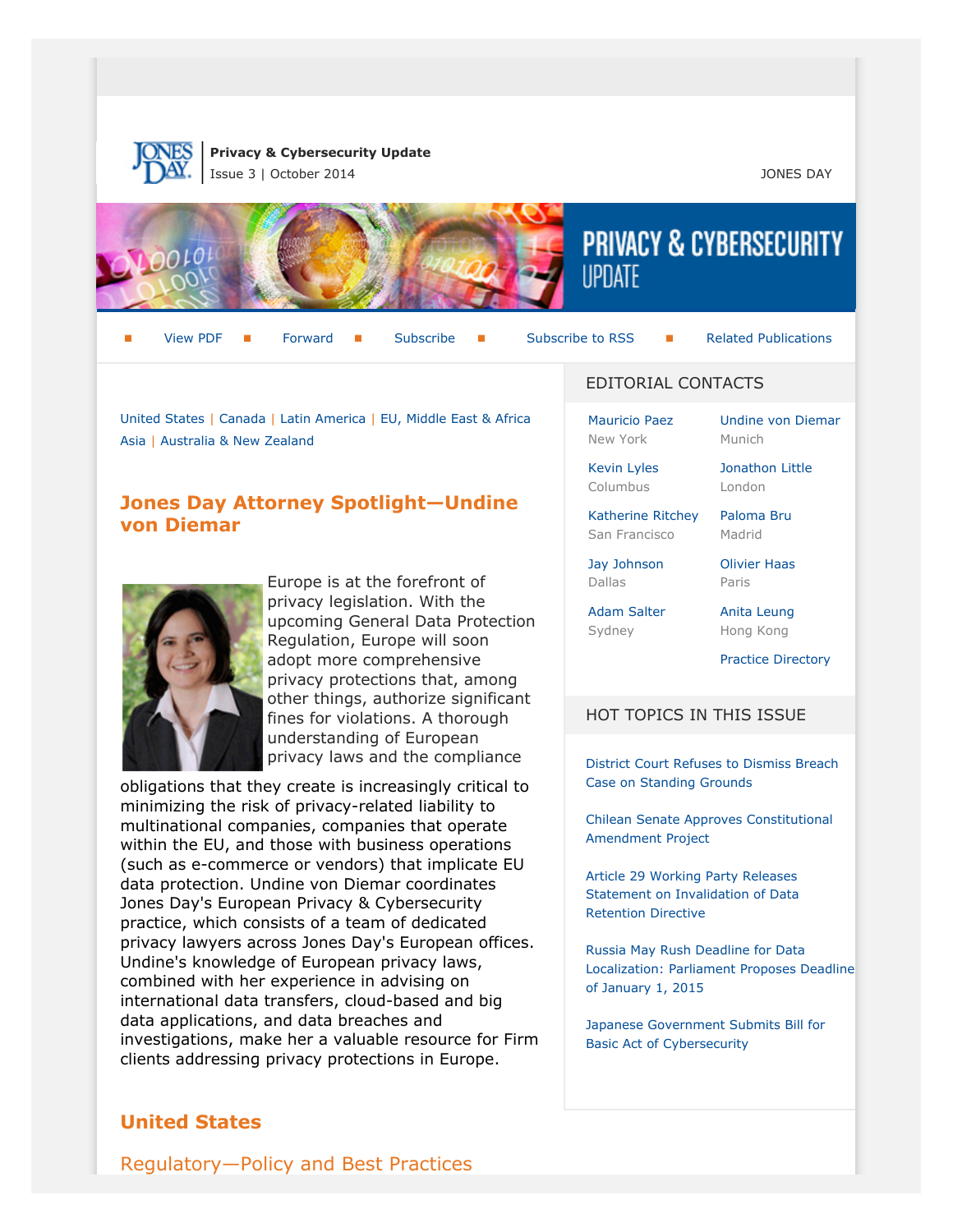

**Privacy & Cybersecurity Update** Issue 3 | October 2014 JONES DAY



[View PDF](http://f.datasrvr.com/fr1/214/67750/Privacy__Cybersecurity_Update_Issue_3.pdf) **[Forward](http://thewritestuff.jonesday.com/cff/a5901673af24af0bbd3419f51eb88837623a4750/)** [Subscribe](http://www.jonesday.com/newsknowledge/publications.aspx) Subscribe [Subscribe to RSS](http://www.jonesday.com/newsknowledge/rss.aspx) **[Related Publications](http://www.jonesday.com/experiencepractices/servicedetail.aspx?serviceid=667cc279-13c5-42de-b91c-34b923a75c52§ion=Publications)** 

[Undine von Diemar](http://www.jonesday.com/uvondiemar)

[United States](#page-0-0) | [Canada](#page-7-0) | [Latin America](#page-7-1) | [EU, Middle East & Africa](#page-8-0) [Asia](#page-12-0) | [Australia & New Zealand](#page-14-0)

# <span id="page-0-1"></span>**Jones Day Attorney Spotlight—Undine von Diemar**



Europe is at the forefront of privacy legislation. With the upcoming General Data Protection Regulation, Europe will soon adopt more comprehensive privacy protections that, among other things, authorize significant fines for violations. A thorough understanding of European privacy laws and the compliance

obligations that they create is increasingly critical to minimizing the risk of privacy-related liability to multinational companies, companies that operate within the EU, and those with business operations (such as e-commerce or vendors) that implicate EU data protection. Undine von Diemar coordinates Jones Day's European Privacy & Cybersecurity practice, which consists of a team of dedicated privacy lawyers across Jones Day's European offices. Undine's knowledge of European privacy laws, combined with her experience in advising on international data transfers, cloud-based and big data applications, and data breaches and investigations, make her a valuable resource for Firm clients addressing privacy protections in Europe.

# <span id="page-0-0"></span>**United States**

EDITORIAL CONTACTS

[Mauricio Paez](http://www.jonesday.com/mfpaez) New York

[Kevin Lyles](http://www.jonesday.com/kdlyles) Columbus

[Katherine Ritchey](http://www.jonesday.com/ksritchey) San Francisco

[Paloma Bru](http://www.jonesday.com/pbru) Madrid

[Jonathon Little](http://www.jonesday.com/jrlittle) London

[Jay Johnson](http://www.jonesday.com/jjohnson) Dallas

[Olivier Haas](http://www.jonesday.com/ohaas) Paris

Munich

[Adam Salter](http://www.jonesday.com/asalter) Sydney

Hong Kong

[Anita Leung](http://www.jonesday.com/aleung)

[Practice Directory](#page-15-0)

#### HOT TOPICS IN THIS ISSUE

[District Court Refuses to Dismiss Breach](#page-4-0) [Case on Standing Grounds](#page-4-0)

[Chilean Senate Approves Constitutional](#page-8-1) [Amendment Project](#page-8-1)

[Article 29 Working Party Releases](#page-9-0) [Statement on Invalidation of Data](#page-9-0) [Retention Directive](#page-9-0)

[Russia May Rush Deadline for Data](#page-12-1) [Localization: Parliament Proposes Deadline](#page-12-1) [of January 1, 2015](#page-12-1)

[Japanese Government Submits Bill for](#page-13-0) [Basic Act of Cybersecurity](#page-13-0)

Regulatory—Policy and Best Practices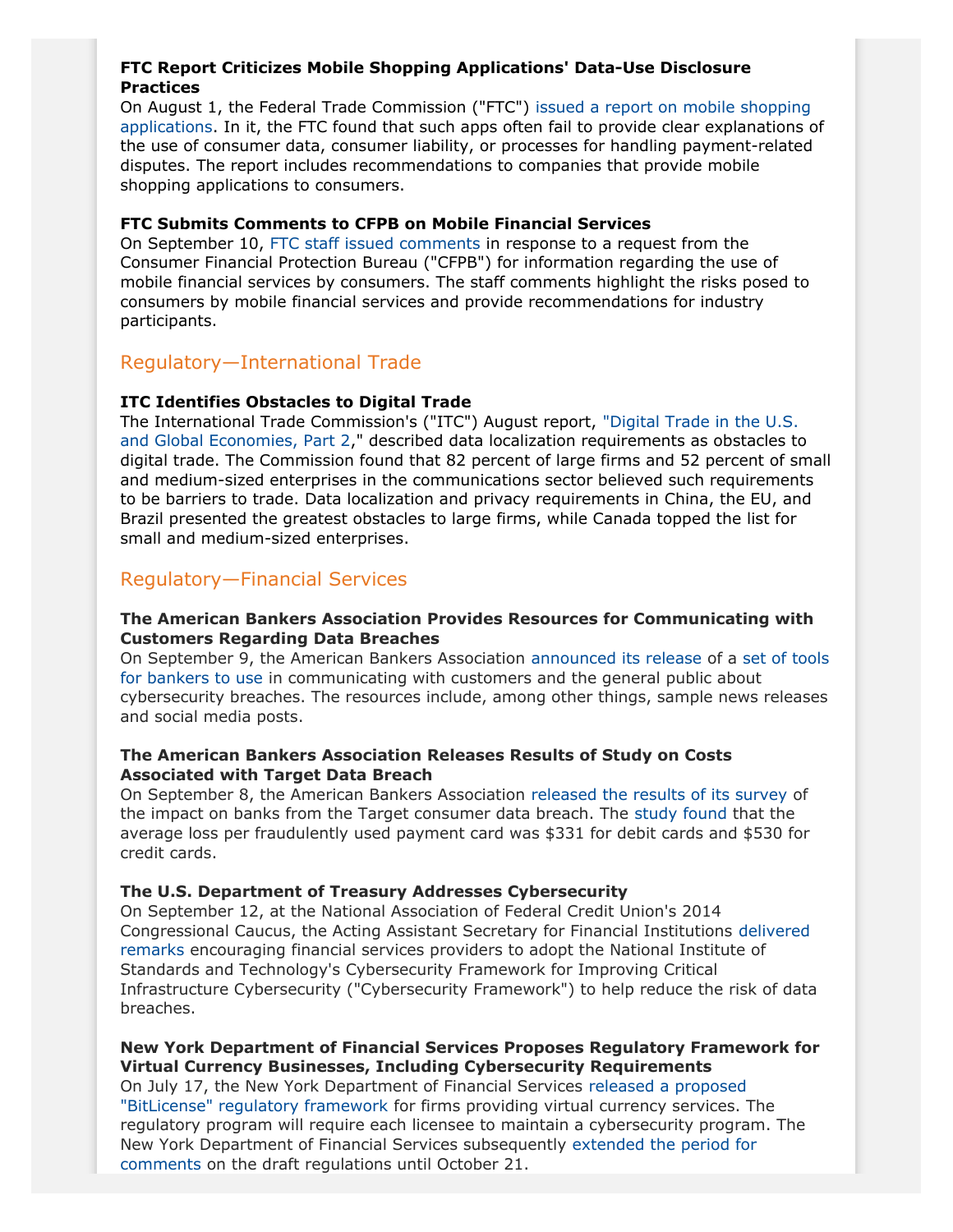## **FTC Report Criticizes Mobile Shopping Applications' Data-Use Disclosure Practices**

On August 1, the Federal Trade Commission ("FTC") [issued a report on mobile shopping](http://www.ftc.gov/system/files/documents/reports/whats-deal-federal-trade-commission-study-mobile-shopping-apps-august-2014/140801mobileshoppingapps.pdf) [applications.](http://www.ftc.gov/system/files/documents/reports/whats-deal-federal-trade-commission-study-mobile-shopping-apps-august-2014/140801mobileshoppingapps.pdf) In it, the FTC found that such apps often fail to provide clear explanations of the use of consumer data, consumer liability, or processes for handling payment-related disputes. The report includes recommendations to companies that provide mobile shopping applications to consumers.

### **FTC Submits Comments to CFPB on Mobile Financial Services**

On September 10, [FTC staff issued comments](http://www.ftc.gov/system/files/documents/advocacy_documents/ftc-staff-comment-consumer-financial-protection-bureau-regarding-use-mobile-financial-services/140912mobilefinancialservices_update.pdf) in response to a request from the Consumer Financial Protection Bureau ("CFPB") for information regarding the use of mobile financial services by consumers. The staff comments highlight the risks posed to consumers by mobile financial services and provide recommendations for industry participants.

# Regulatory—International Trade

## **ITC Identifies Obstacles to Digital Trade**

The International Trade Commission's ("ITC") August report, ["Digital Trade in the U.S.](http://www.usitc.gov/publications/332/pub4485.pdf) [and Global Economies, Part 2](http://www.usitc.gov/publications/332/pub4485.pdf)," described data localization requirements as obstacles to digital trade. The Commission found that 82 percent of large firms and 52 percent of small and medium-sized enterprises in the communications sector believed such requirements to be barriers to trade. Data localization and privacy requirements in China, the EU, and Brazil presented the greatest obstacles to large firms, while Canada topped the list for small and medium-sized enterprises.

# Regulatory—Financial Services

#### **The American Bankers Association Provides Resources for Communicating with Customers Regarding Data Breaches**

On September 9, the American Bankers Association [announced its release](http://www.aba.com/Tools/Ebulletins/Newsbytes/Pages/NewsBytes-Display.aspx?WebId=d18a8e28-6914-43dd-b354-949fc90ef976&ListId=1897346d-aa69-4732-8600-71c93ee94f1c&ItemID=1972) of a [set of tools](http://www.aba.com/Tools/Comm-Tools/Pages/default.aspx) [for bankers to use](http://www.aba.com/Tools/Comm-Tools/Pages/default.aspx) in communicating with customers and the general public about cybersecurity breaches. The resources include, among other things, sample news releases and social media posts.

#### **The American Bankers Association Releases Results of Study on Costs Associated with Target Data Breach**

On September 8, the American Bankers Association [released the results of its survey](http://www.aba.com/Tools/Ebulletins/Newsbytes/Pages/NewsBytes-Display.aspx?WebId=d18a8e28-6914-43dd-b354-949fc90ef976&ListId=1897346d-aa69-4732-8600-71c93ee94f1c&ItemID=1961) of the impact on banks from the Target consumer data breach. The [study found](http://www.aba.com/Tools/Function/Payments/Documents/TargetBreachBankImpact.pdf) that the average loss per fraudulently used payment card was \$331 for debit cards and \$530 for credit cards.

## **The U.S. Department of Treasury Addresses Cybersecurity**

On September 12, at the National Association of Federal Credit Union's 2014 Congressional Caucus, the Acting Assistant Secretary for Financial Institutions [delivered](http://www.treasury.gov/press-center/press-releases/Pages/jl2632.aspx) [remarks](http://www.treasury.gov/press-center/press-releases/Pages/jl2632.aspx) encouraging financial services providers to adopt the National Institute of Standards and Technology's Cybersecurity Framework for Improving Critical Infrastructure Cybersecurity ("Cybersecurity Framework") to help reduce the risk of data breaches.

### **New York Department of Financial Services Proposes Regulatory Framework for Virtual Currency Businesses, Including Cybersecurity Requirements**

On July 17, the New York Department of Financial Services [released a proposed](http://www.dfs.ny.gov/about/press2014/pr1407171.html) ["BitLicense" regulatory framework](http://www.dfs.ny.gov/about/press2014/pr1407171.html) for firms providing virtual currency services. The regulatory program will require each licensee to maintain a cybersecurity program. The New York Department of Financial Services subsequently [extended the period for](http://www.dfs.ny.gov/legal/vcrf_submit_comments.htm) [comments](http://www.dfs.ny.gov/legal/vcrf_submit_comments.htm) on the draft regulations until October 21.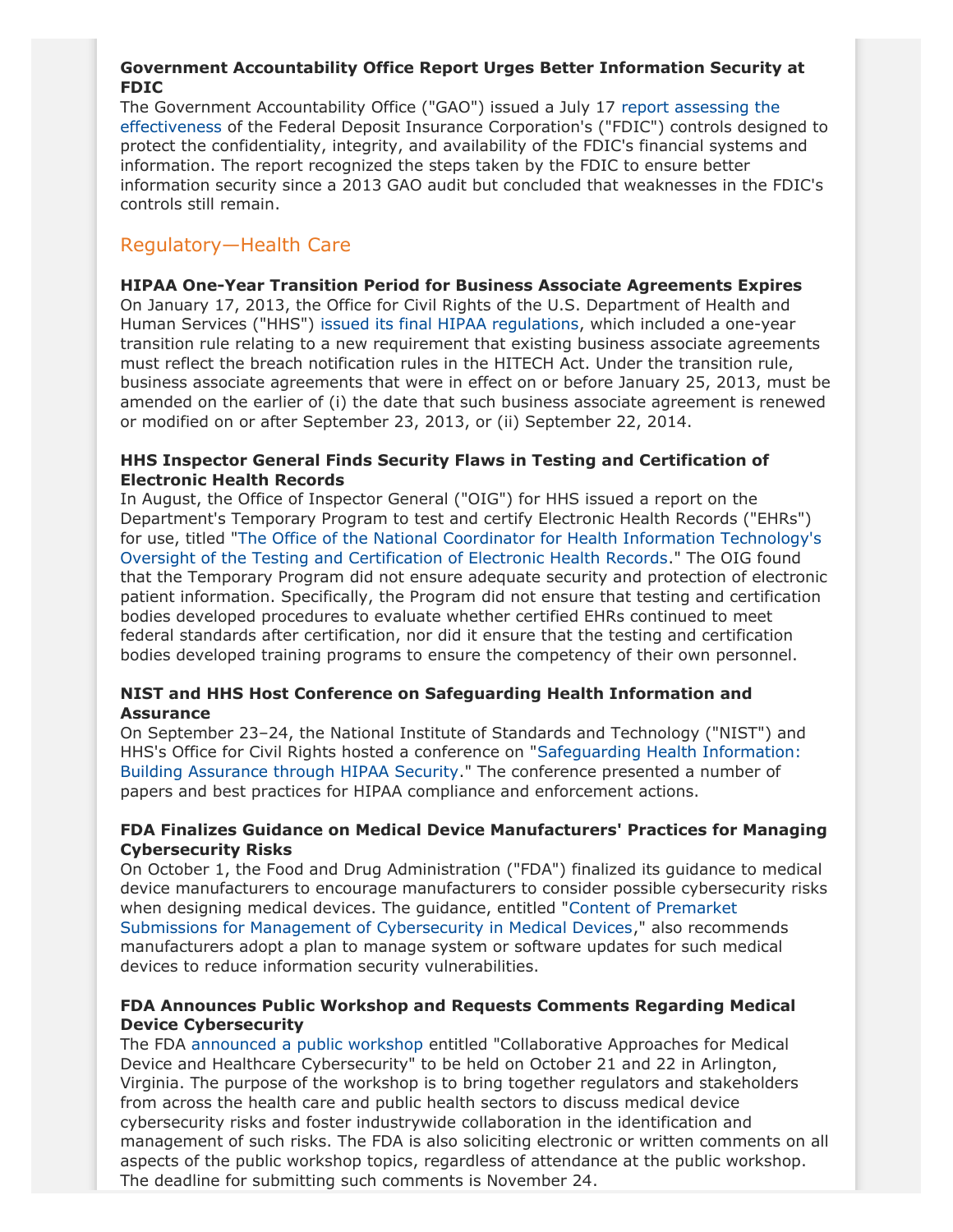## **Government Accountability Office Report Urges Better Information Security at FDIC**

The Government Accountability Office ("GAO") issued a July 17 [report assessing the](http://op.bna.com/bar.nsf/id/jbar-9m5lzv/$File/gao.pdf) [effectiveness](http://op.bna.com/bar.nsf/id/jbar-9m5lzv/$File/gao.pdf) of the Federal Deposit Insurance Corporation's ("FDIC") controls designed to protect the confidentiality, integrity, and availability of the FDIC's financial systems and information. The report recognized the steps taken by the FDIC to ensure better information security since a 2013 GAO audit but concluded that weaknesses in the FDIC's controls still remain.

# Regulatory—Health Care

#### **HIPAA One-Year Transition Period for Business Associate Agreements Expires**

On January 17, 2013, the Office for Civil Rights of the U.S. Department of Health and Human Services ("HHS") [issued its final HIPAA regulations](http://www.gpo.gov/fdsys/pkg/FR-2013-01-25/pdf/2013-01073.pdf), which included a one-year transition rule relating to a new requirement that existing business associate agreements must reflect the breach notification rules in the HITECH Act. Under the transition rule, business associate agreements that were in effect on or before January 25, 2013, must be amended on the earlier of (i) the date that such business associate agreement is renewed or modified on or after September 23, 2013, or (ii) September 22, 2014.

### **HHS Inspector General Finds Security Flaws in Testing and Certification of Electronic Health Records**

In August, the Office of Inspector General ("OIG") for HHS issued a report on the Department's Temporary Program to test and certify Electronic Health Records ("EHRs") for use, titled "[The Office of the National Coordinator for Health Information Technology's](https://oig.hhs.gov/oas/reports/region6/61100063.pdf) [Oversight of the Testing and Certification of Electronic Health Records.](https://oig.hhs.gov/oas/reports/region6/61100063.pdf)" The OIG found that the Temporary Program did not ensure adequate security and protection of electronic patient information. Specifically, the Program did not ensure that testing and certification bodies developed procedures to evaluate whether certified EHRs continued to meet federal standards after certification, nor did it ensure that the testing and certification bodies developed training programs to ensure the competency of their own personnel.

#### **NIST and HHS Host Conference on Safeguarding Health Information and Assurance**

On September 23–24, the National Institute of Standards and Technology ("NIST") and HHS's Office for Civil Rights hosted a conference on ["Safeguarding Health Information:](http://www.nist.gov/itl/csd/upload/Agenda-Safeguarding-Health-Info-092214.pdf) [Building Assurance through HIPAA Security.](http://www.nist.gov/itl/csd/upload/Agenda-Safeguarding-Health-Info-092214.pdf)" The conference presented a number of papers and best practices for HIPAA compliance and enforcement actions.

#### **FDA Finalizes Guidance on Medical Device Manufacturers' Practices for Managing Cybersecurity Risks**

On October 1, the Food and Drug Administration ("FDA") finalized its guidance to medical device manufacturers to encourage manufacturers to consider possible cybersecurity risks when designing medical devices. The guidance, entitled "[Content of Premarket](http://www.fda.gov/downloads/MedicalDevices/DeviceRegulationandGuidance/GuidanceDocuments/UCM356190.pdf) [Submissions for Management of Cybersecurity in Medical Devices,](http://www.fda.gov/downloads/MedicalDevices/DeviceRegulationandGuidance/GuidanceDocuments/UCM356190.pdf)" also recommends manufacturers adopt a plan to manage system or software updates for such medical devices to reduce information security vulnerabilities.

#### **FDA Announces Public Workshop and Requests Comments Regarding Medical Device Cybersecurity**

The FDA [announced a public workshop](http://www.regulations.gov/#!documentDetail;D=FDA-2014-N-1286-0001) entitled "Collaborative Approaches for Medical Device and Healthcare Cybersecurity" to be held on October 21 and 22 in Arlington, Virginia. The purpose of the workshop is to bring together regulators and stakeholders from across the health care and public health sectors to discuss medical device cybersecurity risks and foster industrywide collaboration in the identification and management of such risks. The FDA is also soliciting electronic or written comments on all aspects of the public workshop topics, regardless of attendance at the public workshop. The deadline for submitting such comments is November 24.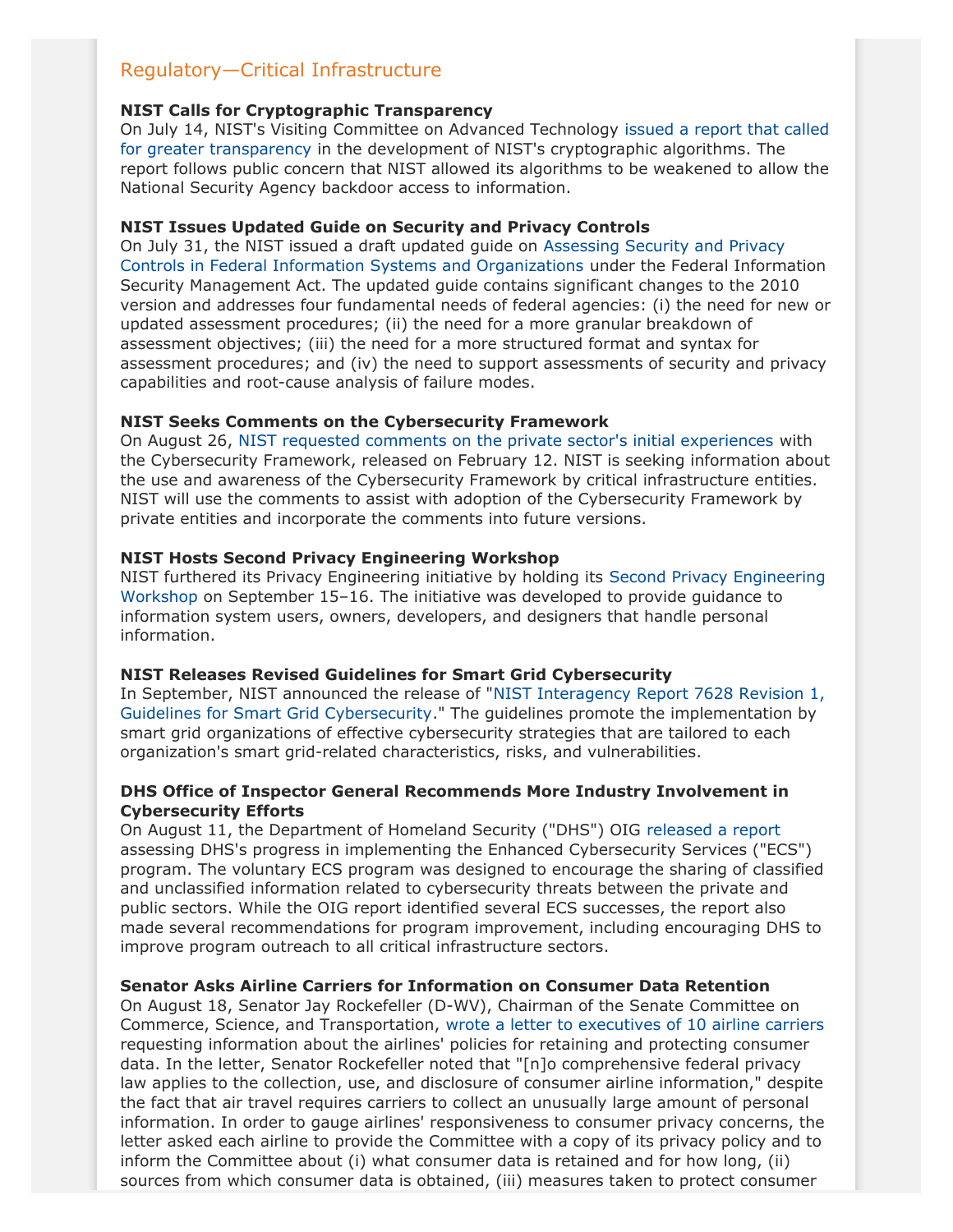# Regulatory—Critical Infrastructure

#### **NIST Calls for Cryptographic Transparency**

On July 14, NIST's Visiting Committee on Advanced Technology [issued a report that called](http://www.nist.gov/public_affairs/releases/upload/VCAT-Report-on-NIST-Cryptographic-Standards-and-Guidelines-Process.pdf) [for greater transparency](http://www.nist.gov/public_affairs/releases/upload/VCAT-Report-on-NIST-Cryptographic-Standards-and-Guidelines-Process.pdf) in the development of NIST's cryptographic algorithms. The report follows public concern that NIST allowed its algorithms to be weakened to allow the National Security Agency backdoor access to information.

### **NIST Issues Updated Guide on Security and Privacy Controls**

On July 31, the NIST issued a draft updated guide on [Assessing Security and Privacy](http://csrc.nist.gov/publications/drafts/800-53a/sp800_53a_r4_draft.pdf) [Controls in Federal Information Systems and Organizations](http://csrc.nist.gov/publications/drafts/800-53a/sp800_53a_r4_draft.pdf) under the Federal Information Security Management Act. The updated guide contains significant changes to the 2010 version and addresses four fundamental needs of federal agencies: (i) the need for new or updated assessment procedures; (ii) the need for a more granular breakdown of assessment objectives; (iii) the need for a more structured format and syntax for assessment procedures; and (iv) the need to support assessments of security and privacy capabilities and root-cause analysis of failure modes.

### **NIST Seeks Comments on the Cybersecurity Framework**

On August 26, [NIST requested comments on the private sector's initial experiences](http://www.gpo.gov/fdsys/pkg/FR-2014-08-26/pdf/2014-20315.pdf) with the Cybersecurity Framework, released on February 12. NIST is seeking information about the use and awareness of the Cybersecurity Framework by critical infrastructure entities. NIST will use the comments to assist with adoption of the Cybersecurity Framework by private entities and incorporate the comments into future versions.

### **NIST Hosts Second Privacy Engineering Workshop**

NIST furthered its Privacy Engineering initiative by holding its [Second Privacy Engineering](http://www.nist.gov/itl/csd/privacy-engineering-workshop-september-15-16-2014.cfm) [Workshop](http://www.nist.gov/itl/csd/privacy-engineering-workshop-september-15-16-2014.cfm) on September 15–16. The initiative was developed to provide guidance to information system users, owners, developers, and designers that handle personal information.

#### **NIST Releases Revised Guidelines for Smart Grid Cybersecurity**

In September, NIST announced the release of "[NIST Interagency Report 7628 Revision 1,](http://csrc.nist.gov/publications/nistbul/itlbul2014_09.pdf) [Guidelines for Smart Grid Cybersecurity.](http://csrc.nist.gov/publications/nistbul/itlbul2014_09.pdf)" The guidelines promote the implementation by smart grid organizations of effective cybersecurity strategies that are tailored to each organization's smart grid-related characteristics, risks, and vulnerabilities.

### **DHS Office of Inspector General Recommends More Industry Involvement in Cybersecurity Efforts**

On August 11, the Department of Homeland Security ("DHS") OIG [released a report](http://www.oig.dhs.gov/assets/Mgmt/2014/OIG_14-119_Jul14.pdf) assessing DHS's progress in implementing the Enhanced Cybersecurity Services ("ECS") program. The voluntary ECS program was designed to encourage the sharing of classified and unclassified information related to cybersecurity threats between the private and public sectors. While the OIG report identified several ECS successes, the report also made several recommendations for program improvement, including encouraging DHS to improve program outreach to all critical infrastructure sectors.

#### **Senator Asks Airline Carriers for Information on Consumer Data Retention**

On August 18, Senator Jay Rockefeller (D-WV), Chairman of the Senate Committee on Commerce, Science, and Transportation, [wrote a letter to executives of 10 airline carriers](http://op.bna.com/pl.nsf/id/kjon-9n5rq8/$File/8-18%20Letter%20to%20Airlines.pdf) requesting information about the airlines' policies for retaining and protecting consumer data. In the letter, Senator Rockefeller noted that "[n]o comprehensive federal privacy law applies to the collection, use, and disclosure of consumer airline information," despite the fact that air travel requires carriers to collect an unusually large amount of personal information. In order to gauge airlines' responsiveness to consumer privacy concerns, the letter asked each airline to provide the Committee with a copy of its privacy policy and to inform the Committee about (i) what consumer data is retained and for how long, (ii) sources from which consumer data is obtained, (iii) measures taken to protect consumer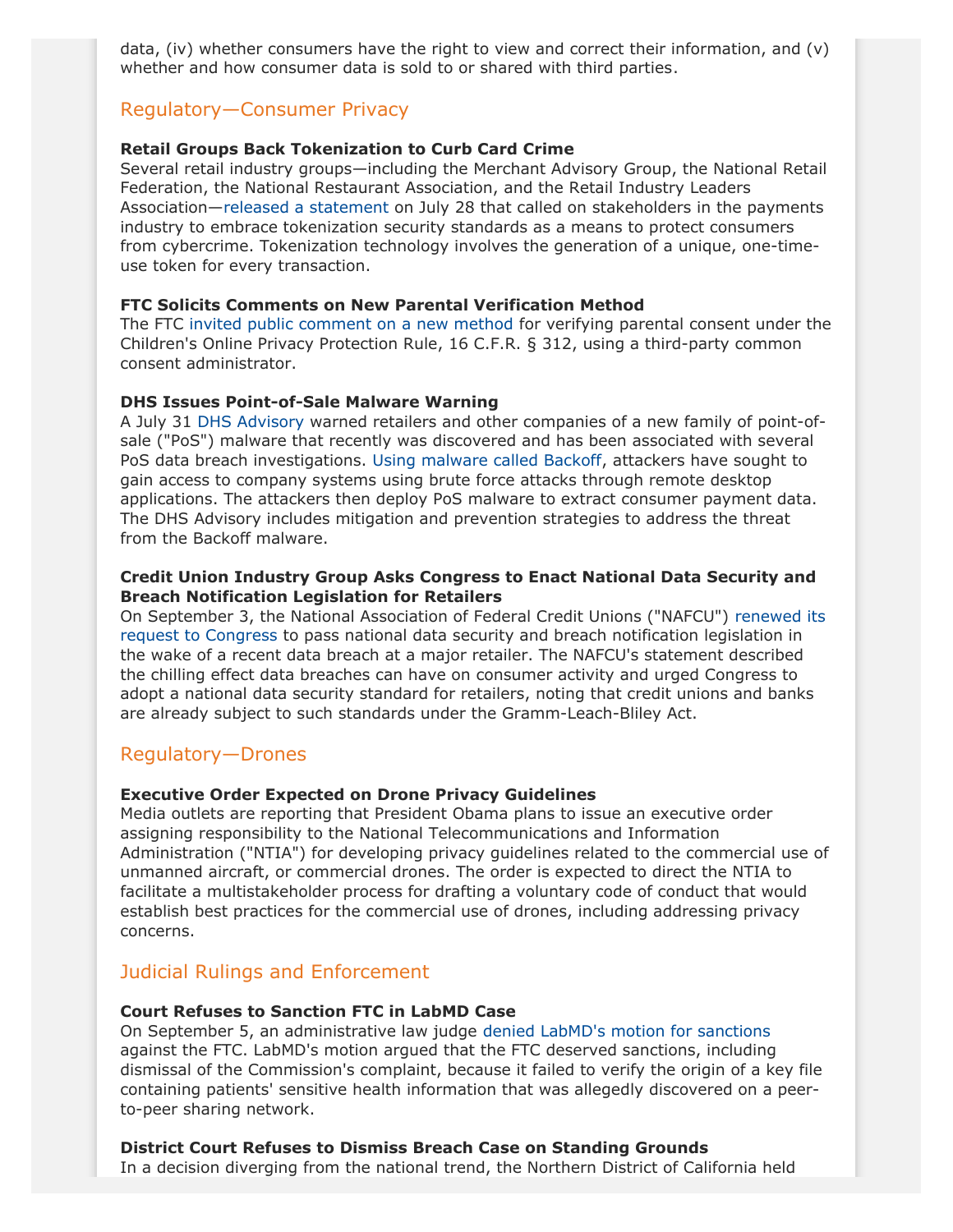data, (iv) whether consumers have the right to view and correct their information, and (v) whether and how consumer data is sold to or shared with third parties.

## Regulatory—Consumer Privacy

#### **Retail Groups Back Tokenization to Curb Card Crime**

Several retail industry groups—including the Merchant Advisory Group, the National Retail Federation, the National Restaurant Association, and the Retail Industry Leaders Association—[released a statement](http://www.rila.org/news/topnews/Pages/Merchant-Community-Coalesces-Behind-Open-Process-for-Security-Standards-to-Better-Protect-U.S.-Consumers.aspx) on July 28 that called on stakeholders in the payments industry to embrace tokenization security standards as a means to protect consumers from cybercrime. Tokenization technology involves the generation of a unique, one-timeuse token for every transaction.

#### **FTC Solicits Comments on New Parental Verification Method**

The FTC [invited public comment on a new method](http://www.ftc.gov/system/files/documents/federal_register_notices/2014/08/140825agecheqfrn1.pdf) for verifying parental consent under the Children's Online Privacy Protection Rule, 16 C.F.R. § 312, using a third-party common consent administrator.

#### **DHS Issues Point-of-Sale Malware Warning**

A July 31 [DHS Advisory](https://www.us-cert.gov/sites/default/files/publications/BackoffPointOfSaleMalware.pdf) warned retailers and other companies of a new family of point-ofsale ("PoS") malware that recently was discovered and has been associated with several PoS data breach investigations. [Using malware called Backoff,](http://www.jonesday.com/backoff-point-of-sale-malware-here-we-go-again/) attackers have sought to gain access to company systems using brute force attacks through remote desktop applications. The attackers then deploy PoS malware to extract consumer payment data. The DHS Advisory includes mitigation and prevention strategies to address the threat from the Backoff malware.

#### **Credit Union Industry Group Asks Congress to Enact National Data Security and Breach Notification Legislation for Retailers**

On September 3, the National Association of Federal Credit Unions ("NAFCU") [renewed its](http://devbalance.nafcu.org/Tertiary.aspx?id=55473) [request to Congress](http://devbalance.nafcu.org/Tertiary.aspx?id=55473) to pass national data security and breach notification legislation in the wake of a recent data breach at a major retailer. The NAFCU's statement described the chilling effect data breaches can have on consumer activity and urged Congress to adopt a national data security standard for retailers, noting that credit unions and banks are already subject to such standards under the Gramm-Leach-Bliley Act.

## Regulatory—Drones

#### **Executive Order Expected on Drone Privacy Guidelines**

Media outlets are reporting that President Obama plans to issue an executive order assigning responsibility to the National Telecommunications and Information Administration ("NTIA") for developing privacy guidelines related to the commercial use of unmanned aircraft, or commercial drones. The order is expected to direct the NTIA to facilitate a multistakeholder process for drafting a voluntary code of conduct that would establish best practices for the commercial use of drones, including addressing privacy concerns.

## Judicial Rulings and Enforcement

#### **Court Refuses to Sanction FTC in LabMD Case**

On September 5, an administrative law judge [denied LabMD's motion for sanctions](http://www.ftc.gov/system/files/documents/cases/571792.pdf) against the FTC. LabMD's motion argued that the FTC deserved sanctions, including dismissal of the Commission's complaint, because it failed to verify the origin of a key file containing patients' sensitive health information that was allegedly discovered on a peerto-peer sharing network.

#### <span id="page-4-0"></span>**District Court Refuses to Dismiss Breach Case on Standing Grounds**

In a decision diverging from the national trend, the Northern District of California held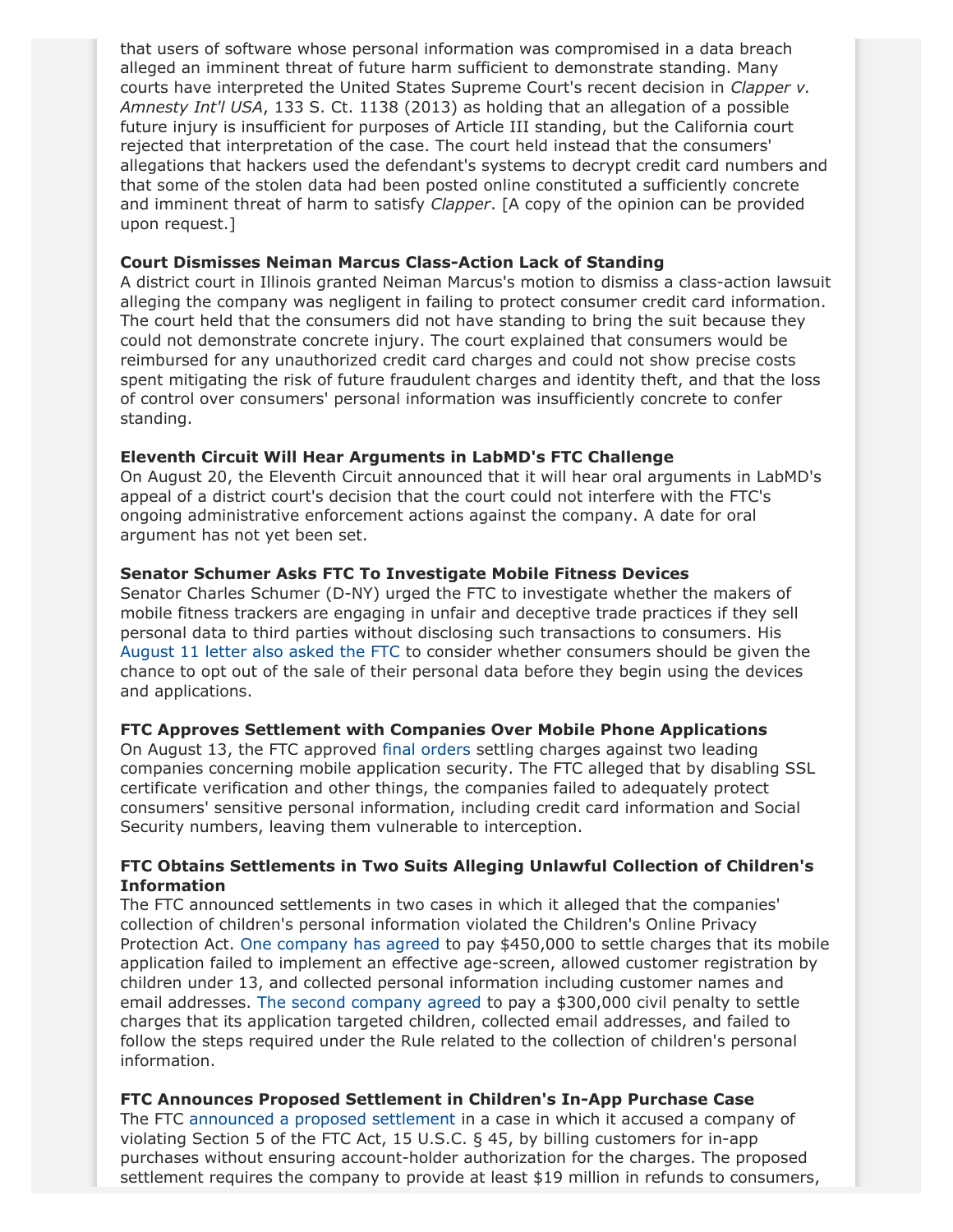that users of software whose personal information was compromised in a data breach alleged an imminent threat of future harm sufficient to demonstrate standing. Many courts have interpreted the United States Supreme Court's recent decision in *Clapper v. Amnesty Int'l USA*, 133 S. Ct. 1138 (2013) as holding that an allegation of a possible future injury is insufficient for purposes of Article III standing, but the California court rejected that interpretation of the case. The court held instead that the consumers' allegations that hackers used the defendant's systems to decrypt credit card numbers and that some of the stolen data had been posted online constituted a sufficiently concrete and imminent threat of harm to satisfy *Clapper*. [A copy of the opinion can be provided upon request.]

#### **Court Dismisses Neiman Marcus Class-Action Lack of Standing**

A district court in Illinois granted Neiman Marcus's motion to dismiss a class-action lawsuit alleging the company was negligent in failing to protect consumer credit card information. The court held that the consumers did not have standing to bring the suit because they could not demonstrate concrete injury. The court explained that consumers would be reimbursed for any unauthorized credit card charges and could not show precise costs spent mitigating the risk of future fraudulent charges and identity theft, and that the loss of control over consumers' personal information was insufficiently concrete to confer standing.

#### **Eleventh Circuit Will Hear Arguments in LabMD's FTC Challenge**

On August 20, the Eleventh Circuit announced that it will hear oral arguments in LabMD's appeal of a district court's decision that the court could not interfere with the FTC's ongoing administrative enforcement actions against the company. A date for oral argument has not yet been set.

#### **Senator Schumer Asks FTC To Investigate Mobile Fitness Devices**

Senator Charles Schumer (D-NY) urged the FTC to investigate whether the makers of mobile fitness trackers are engaging in unfair and deceptive trade practices if they sell personal data to third parties without disclosing such transactions to consumers. His [August 11 letter also asked the FTC](http://op.bna.com/hl.nsf/id/kcpk-9mwrxq/$File/FTC Fitbit 8 11 14.pdf) to consider whether consumers should be given the chance to opt out of the sale of their personal data before they begin using the devices and applications.

#### **FTC Approves Settlement with Companies Over Mobile Phone Applications**

On August 13, the FTC approved [final orders](http://www.ftc.gov/system/files/documents/cases/1408creditkarmado.pdf) settling charges against two leading companies concerning mobile application security. The FTC alleged that by disabling SSL certificate verification and other things, the companies failed to adequately protect consumers' sensitive personal information, including credit card information and Social Security numbers, leaving them vulnerable to interception.

### **FTC Obtains Settlements in Two Suits Alleging Unlawful Collection of Children's Information**

The FTC announced settlements in two cases in which it alleged that the companies' collection of children's personal information violated the Children's Online Privacy Protection Act. [One company has agreed](http://www.ftc.gov/system/files/documents/cases/140917yelpstip.pdf) to pay \$450,000 to settle charges that its mobile application failed to implement an effective age-screen, allowed customer registration by children under 13, and collected personal information including customer names and email addresses. [The second company agreed](http://www.ftc.gov/system/files/documents/cases/140917tinycostip.pdf) to pay a \$300,000 civil penalty to settle charges that its application targeted children, collected email addresses, and failed to follow the steps required under the Rule related to the collection of children's personal information.

#### **FTC Announces Proposed Settlement in Children's In-App Purchase Case**

The FTC [announced a proposed settlement](http://www.ftc.gov/system/files/documents/cases/140904googleplayorder.pdf) in a case in which it accused a company of violating Section 5 of the FTC Act, 15 U.S.C. § 45, by billing customers for in-app purchases without ensuring account-holder authorization for the charges. The proposed settlement requires the company to provide at least \$19 million in refunds to consumers,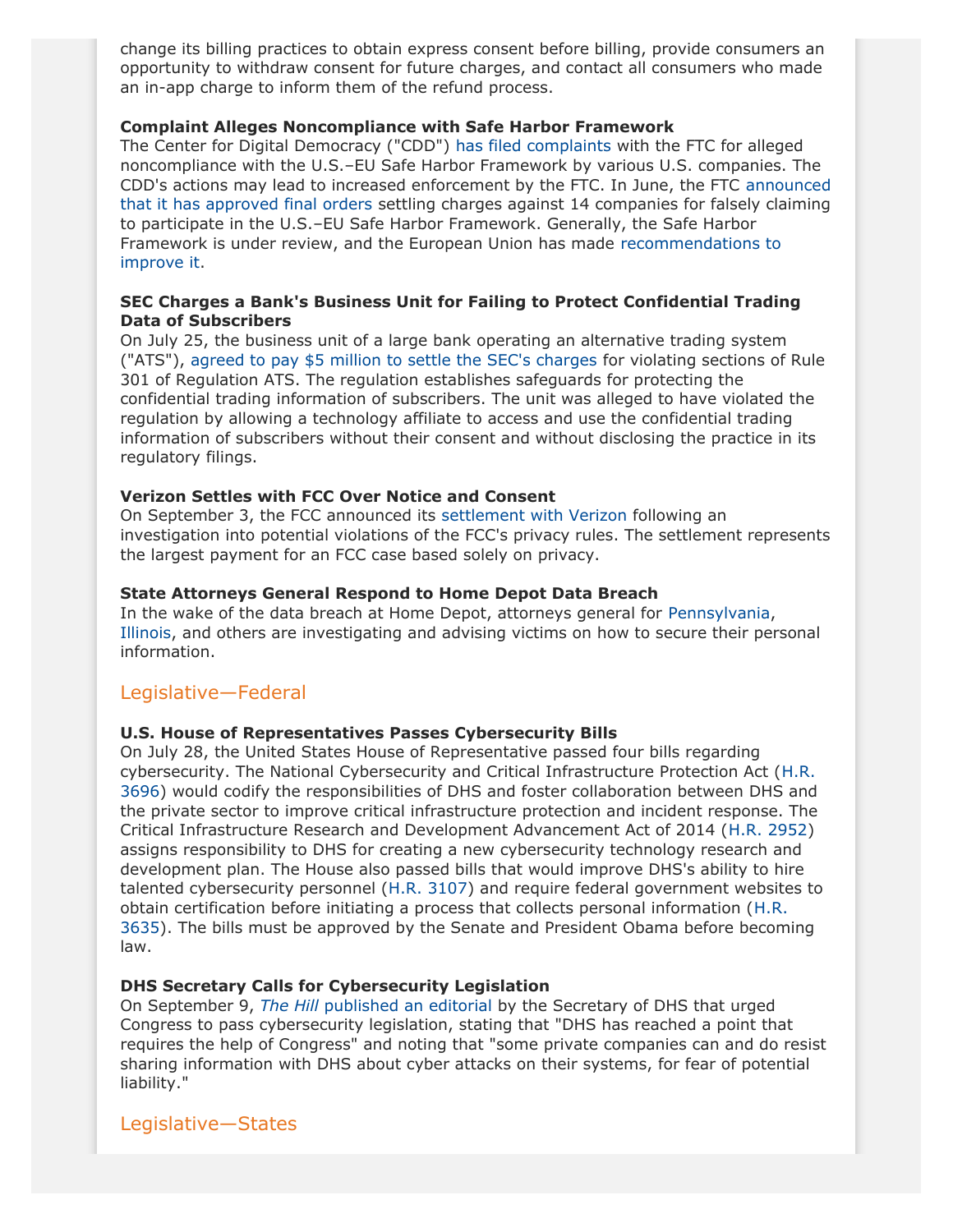change its billing practices to obtain express consent before billing, provide consumers an opportunity to withdraw consent for future charges, and contact all consumers who made an in-app charge to inform them of the refund process.

#### **Complaint Alleges Noncompliance with Safe Harbor Framework**

The Center for Digital Democracy ("CDD") [has filed complaints](http://www.centerfordigitaldemocracy.org/sites/default/files/Safe HarborComplaints081314.pdf) with the FTC for alleged noncompliance with the U.S.–EU Safe Harbor Framework by various U.S. companies. The CDD's actions may lead to increased enforcement by the FTC. In June, the FTC [announced](http://www.ftc.gov/news-events/press-releases/2014/06/ftc-approves-final-orders-settling-charges-us-eu-safe-harbor) [that it has approved final orders](http://www.ftc.gov/news-events/press-releases/2014/06/ftc-approves-final-orders-settling-charges-us-eu-safe-harbor) settling charges against 14 companies for falsely claiming to participate in the U.S.–EU Safe Harbor Framework. Generally, the Safe Harbor Framework is under review, and the European Union has made [recommendations to](http://ec.europa.eu/justice/data-protection/files/com_2013_847_en.pdf) [improve it](http://ec.europa.eu/justice/data-protection/files/com_2013_847_en.pdf).

#### **SEC Charges a Bank's Business Unit for Failing to Protect Confidential Trading Data of Subscribers**

On July 25, the business unit of a large bank operating an alternative trading system ("ATS"), [agreed to pay \\$5 million to settle the SEC's charges](http://www.sec.gov/News/PressRelease/Detail/PressRelease/1370542371114) for violating sections of Rule 301 of Regulation ATS. The regulation establishes safeguards for protecting the confidential trading information of subscribers. The unit was alleged to have violated the regulation by allowing a technology affiliate to access and use the confidential trading information of subscribers without their consent and without disclosing the practice in its regulatory filings.

#### **Verizon Settles with FCC Over Notice and Consent**

On September 3, the FCC announced its [settlement with Verizon](http://www.fcc.gov/document/verizon-pay-74m-settle-privacy-investigation) following an investigation into potential violations of the FCC's privacy rules. The settlement represents the largest payment for an FCC case based solely on privacy.

#### **State Attorneys General Respond to Home Depot Data Breach**

In the wake of the data breach at Home Depot, attorneys general for [Pennsylvania](https://www.attorneygeneral.gov/Media_and_Resources/Press_Releases/Press_Release/?pid=848), [Illinois](http://illinoisattorneygeneral.gov/pressroom/2014_09/20140903.html), and others are investigating and advising victims on how to secure their personal information.

## Legislative—Federal

#### **U.S. House of Representatives Passes Cybersecurity Bills**

On July 28, the United States House of Representative passed four bills regarding cybersecurity. The National Cybersecurity and Critical Infrastructure Protection Act ([H.R.](http://www.gpo.gov/fdsys/pkg/BILLS-113hr3696rh/pdf/BILLS-113hr3696rh.pdf) [3696\)](http://www.gpo.gov/fdsys/pkg/BILLS-113hr3696rh/pdf/BILLS-113hr3696rh.pdf) would codify the responsibilities of DHS and foster collaboration between DHS and the private sector to improve critical infrastructure protection and incident response. The Critical Infrastructure Research and Development Advancement Act of 2014 ([H.R. 2952\)](http://www.gpo.gov/fdsys/pkg/BILLS-113hr2952eh/pdf/BILLS-113hr2952eh.pdf) assigns responsibility to DHS for creating a new cybersecurity technology research and development plan. The House also passed bills that would improve DHS's ability to hire talented cybersecurity personnel ([H.R. 3107](http://www.gpo.gov/fdsys/pkg/BILLS-113hr3107eh/pdf/BILLS-113hr3107eh.pdf)) and require federal government websites to obtain certification before initiating a process that collects personal information ([H.R.](http://docs.house.gov/billsthisweek/20140728/BILLS-113hr3635.pdf) [3635\)](http://docs.house.gov/billsthisweek/20140728/BILLS-113hr3635.pdf). The bills must be approved by the Senate and President Obama before becoming law.

#### **DHS Secretary Calls for Cybersecurity Legislation**

On September 9, *The Hill* [published an editorial](http://thehill.com/opinion/op-ed/217151-lets-pass-cybersecurity-legislation) by the Secretary of DHS that urged Congress to pass cybersecurity legislation, stating that "DHS has reached a point that requires the help of Congress" and noting that "some private companies can and do resist sharing information with DHS about cyber attacks on their systems, for fear of potential liability."

### Legislative—States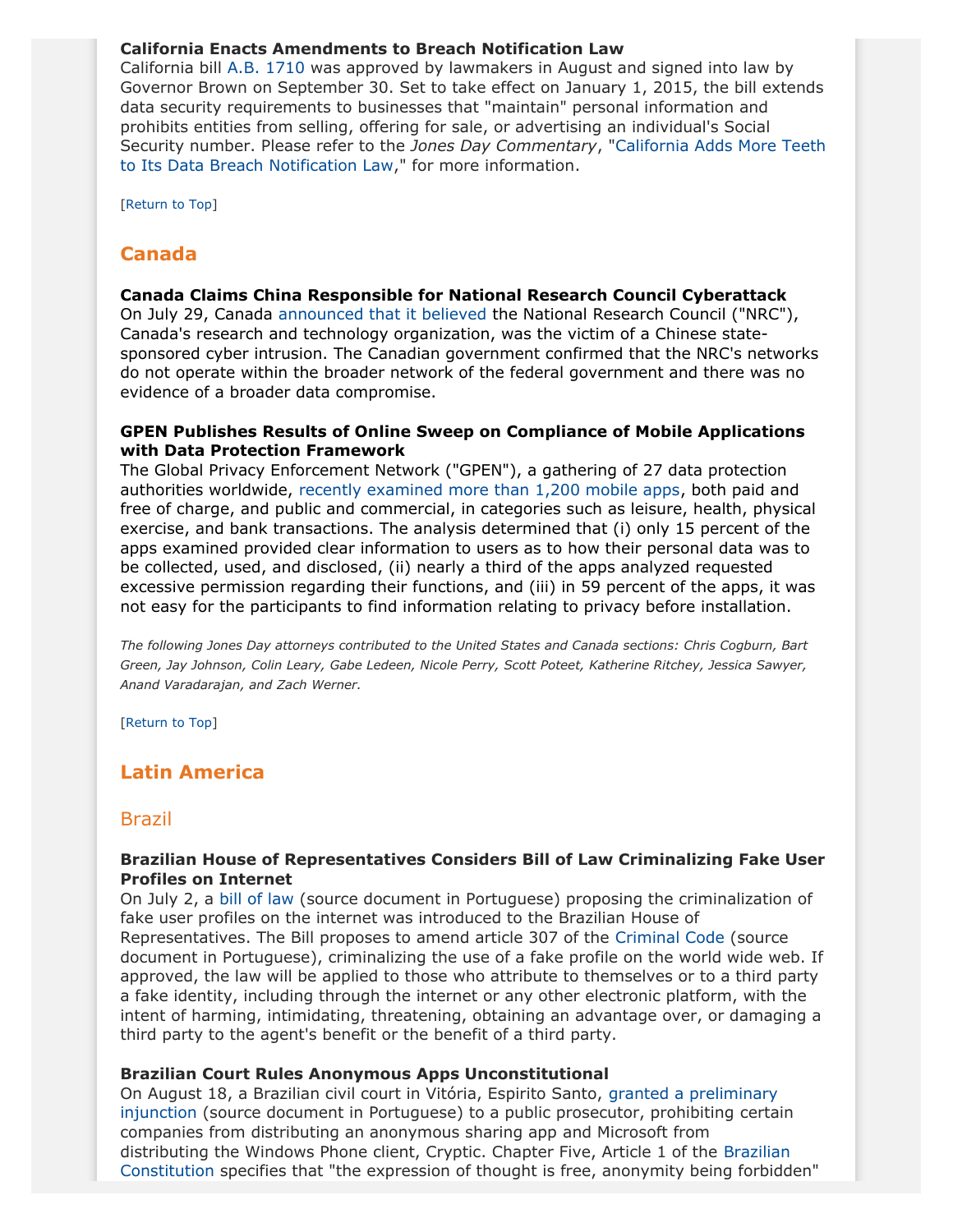#### **California Enacts Amendments to Breach Notification Law**

California bill [A.B. 1710](http://leginfo.legislature.ca.gov/faces/billCompareClient.xhtml) was approved by lawmakers in August and signed into law by Governor Brown on September 30. Set to take effect on January 1, 2015, the bill extends data security requirements to businesses that "maintain" personal information and prohibits entities from selling, offering for sale, or advertising an individual's Social Security number. Please refer to the *Jones Day Commentary*, "[California Adds More Teeth](http://www.jonesday.com/california-adds-more-teeth-to-its-data-breach-notification-law-10-03-2014/) [to Its Data Breach Notification Law](http://www.jonesday.com/california-adds-more-teeth-to-its-data-breach-notification-law-10-03-2014/)," for more information.

[[Return to Top](#page-0-1)]

# <span id="page-7-0"></span>**Canada**

#### **Canada Claims China Responsible for National Research Council Cyberattack**

On July 29, Canada [announced that it believed](http://news.gc.ca/web/article-en.do?nid=871449) the National Research Council ("NRC"), Canada's research and technology organization, was the victim of a Chinese statesponsored cyber intrusion. The Canadian government confirmed that the NRC's networks do not operate within the broader network of the federal government and there was no evidence of a broader data compromise.

#### **GPEN Publishes Results of Online Sweep on Compliance of Mobile Applications with Data Protection Framework**

The Global Privacy Enforcement Network ("GPEN"), a gathering of 27 data protection authorities worldwide, [recently examined more than 1,200 mobile apps](https://www.priv.gc.ca/media/nr-c/2014/bg_140910_e.asp), both paid and free of charge, and public and commercial, in categories such as leisure, health, physical exercise, and bank transactions. The analysis determined that (i) only 15 percent of the apps examined provided clear information to users as to how their personal data was to be collected, used, and disclosed, (ii) nearly a third of the apps analyzed requested excessive permission regarding their functions, and (iii) in 59 percent of the apps, it was not easy for the participants to find information relating to privacy before installation.

*The following Jones Day attorneys contributed to the United States and Canada sections: Chris Cogburn, Bart Green, Jay Johnson, Colin Leary, Gabe Ledeen, Nicole Perry, Scott Poteet, Katherine Ritchey, Jessica Sawyer, Anand Varadarajan, and Zach Werner.*

[[Return to Top](#page-0-1)]

# <span id="page-7-1"></span>**Latin America**

#### Brazil

#### **Brazilian House of Representatives Considers Bill of Law Criminalizing Fake User Profiles on Internet**

On July 2, a [bill of law](http://www.camara.gov.br/proposicoesWeb/prop_mostrarintegra;jsessionid=EBBB25DB9CD99CBDD415D14350483F13.proposicoesWeb1?codteor=1263593&filename=Tramitacao-PL+7758/2014) (source document in Portuguese) proposing the criminalization of fake user profiles on the internet was introduced to the Brazilian House of Representatives. The Bill proposes to amend article 307 of the [Criminal Code](http://www.planalto.gov.br/ccivil_03/decreto-lei/del2848.htm) (source document in Portuguese), criminalizing the use of a fake profile on the world wide web. If approved, the law will be applied to those who attribute to themselves or to a third party a fake identity, including through the internet or any other electronic platform, with the intent of harming, intimidating, threatening, obtaining an advantage over, or damaging a third party to the agent's benefit or the benefit of a third party.

#### **Brazilian Court Rules Anonymous Apps Unconstitutional**

On August 18, a Brazilian civil court in Vitória, Espirito Santo, [granted a preliminary](https://docs.google.com/file/d/0BzcBZYaOx4TaS0tMcnFOcHVZdDQ/edit?pli=1) [injunction](https://docs.google.com/file/d/0BzcBZYaOx4TaS0tMcnFOcHVZdDQ/edit?pli=1) (source document in Portuguese) to a public prosecutor, prohibiting certain companies from distributing an anonymous sharing app and Microsoft from distributing the Windows Phone client, Cryptic. Chapter Five, Article 1 of the [Brazilian](http://www.globalhealthrights.org/wp-content/uploads/2013/09/Brazil-constitution-English.pdf) [Constitution](http://www.globalhealthrights.org/wp-content/uploads/2013/09/Brazil-constitution-English.pdf) specifies that "the expression of thought is free, anonymity being forbidden"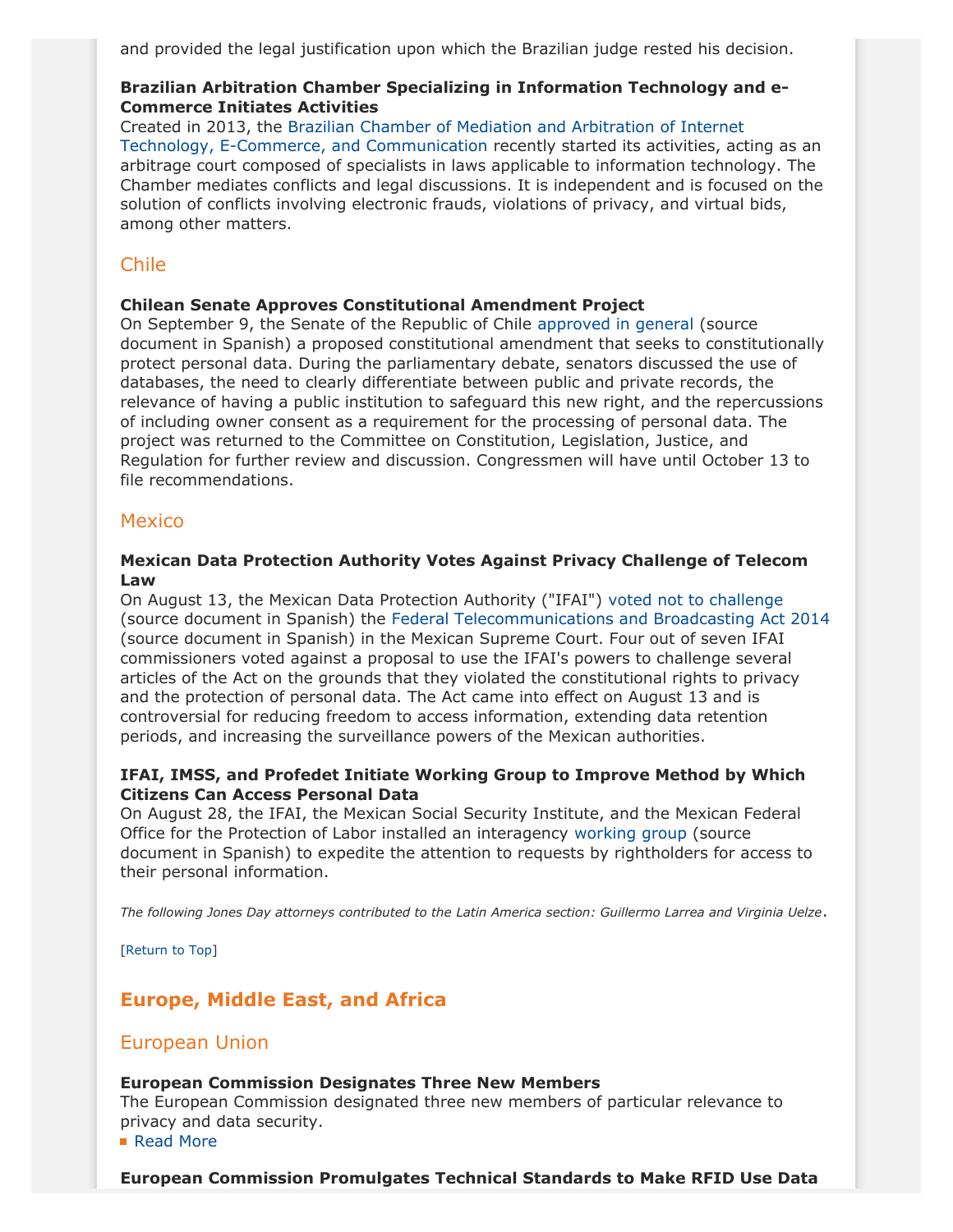and provided the legal justification upon which the Brazilian judge rested his decision.

### **Brazilian Arbitration Chamber Specializing in Information Technology and e-Commerce Initiates Activities**

Created in 2013, the [Brazilian Chamber of Mediation and Arbitration of Internet](http://ciamtec.com.br/) [Technology, E-Commerce, and Communication](http://ciamtec.com.br/) recently started its activities, acting as an arbitrage court composed of specialists in laws applicable to information technology. The Chamber mediates conflicts and legal discussions. It is independent and is focused on the solution of conflicts involving electronic frauds, violations of privacy, and virtual bids, among other matters.

# Chile

## <span id="page-8-1"></span>**Chilean Senate Approves Constitutional Amendment Project**

On September 9, the Senate of the Republic of Chile [approved in general](http://www.senado.cl/norma-sobre-proteccion-de-datos-personales-sera-debatida-en-particular/prontus_senado/2014-09-09/195725.html#vtxt_cuerpo_T1) (source document in Spanish) a proposed constitutional amendment that seeks to constitutionally protect personal data. During the parliamentary debate, senators discussed the use of databases, the need to clearly differentiate between public and private records, the relevance of having a public institution to safeguard this new right, and the repercussions of including owner consent as a requirement for the processing of personal data. The project was returned to the Committee on Constitution, Legislation, Justice, and Regulation for further review and discussion. Congressmen will have until October 13 to file recommendations.

## **Mexico**

#### **Mexican Data Protection Authority Votes Against Privacy Challenge of Telecom Law**

On August 13, the Mexican Data Protection Authority ("IFAI") [voted not to challenge](http://inicio.ifai.org.mx/Comunicados/Comunicado IFAI-053-14.pdf) (source document in Spanish) the [Federal Telecommunications and Broadcasting Act 2014](http://www.dof.gob.mx/nota_detalle.php?codigo=5352323&fecha=14/07/2014) (source document in Spanish) in the Mexican Supreme Court. Four out of seven IFAI commissioners voted against a proposal to use the IFAI's powers to challenge several articles of the Act on the grounds that they violated the constitutional rights to privacy and the protection of personal data. The Act came into effect on August 13 and is controversial for reducing freedom to access information, extending data retention periods, and increasing the surveillance powers of the Mexican authorities.

#### **IFAI, IMSS, and Profedet Initiate Working Group to Improve Method by Which Citizens Can Access Personal Data**

On August 28, the IFAI, the Mexican Social Security Institute, and the Mexican Federal Office for the Protection of Labor installed an interagency [working group](http://inicio.ifai.org.mx/Comunicados/Comunicado IFAI-069-14.pdf) (source document in Spanish) to expedite the attention to requests by rightholders for access to their personal information.

*The following Jones Day attorneys contributed to the Latin America section: Guillermo Larrea and Virginia Uelze*.

[[Return to Top](#page-0-1)]

# <span id="page-8-0"></span>**Europe, Middle East, and Africa**

# European Union

#### **European Commission Designates Three New Members**

The European Commission designated three new members of particular relevance to privacy and data security.

■ [Read More](http://thewritestuff.jonesday.com/cv/a5901673af24af0bbd3419f51eb88837623a4750/p=4022681)

#### **European Commission Promulgates Technical Standards to Make RFID Use Data**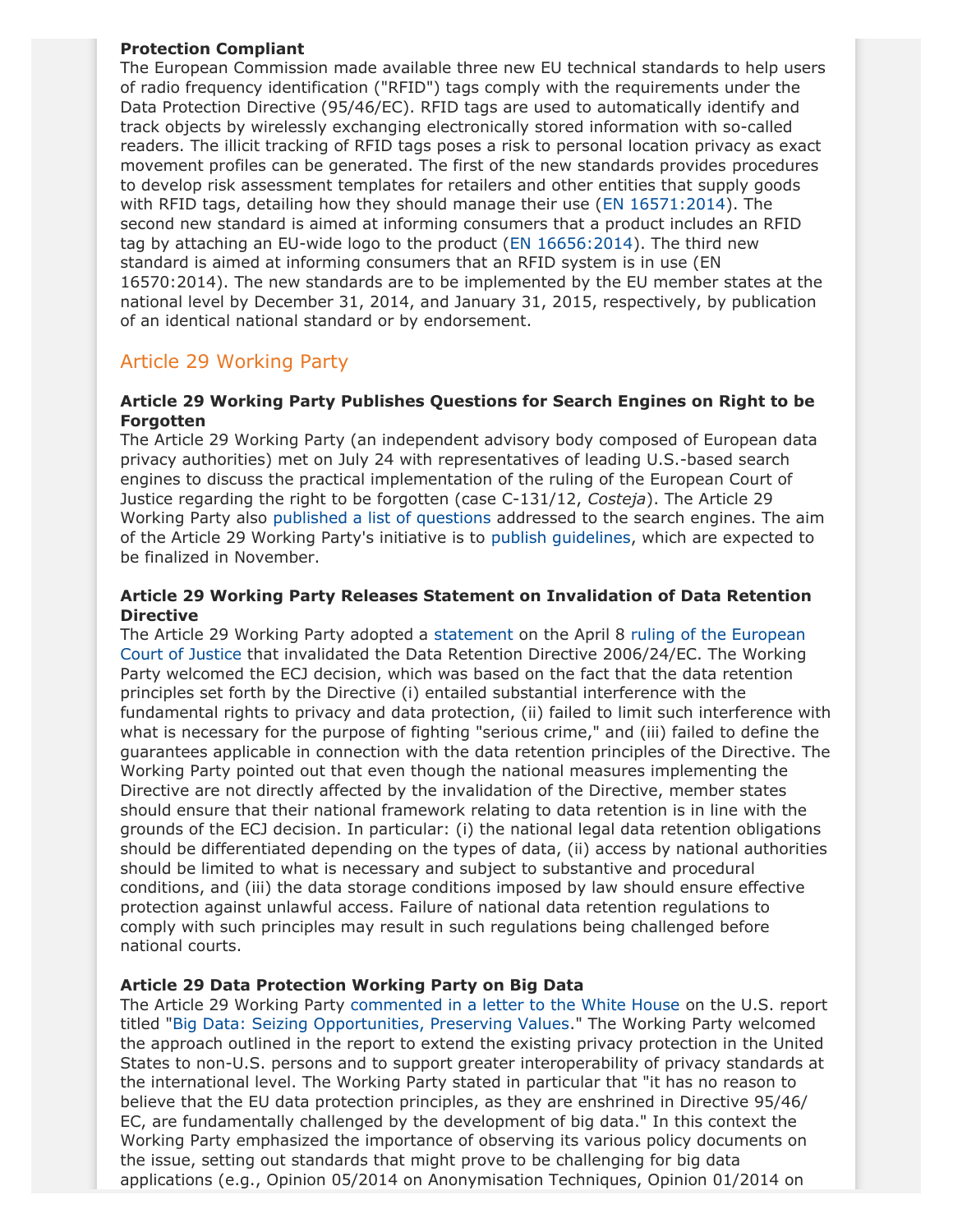#### **Protection Compliant**

The European Commission made available three new EU technical standards to help users of radio frequency identification ("RFID") tags comply with the requirements under the Data Protection Directive (95/46/EC). RFID tags are used to automatically identify and track objects by wirelessly exchanging electronically stored information with so-called readers. The illicit tracking of RFID tags poses a risk to personal location privacy as exact movement profiles can be generated. The first of the new standards provides procedures to develop risk assessment templates for retailers and other entities that supply goods with RFID tags, detailing how they should manage their use [\(EN 16571:2014](http://standards.cen.eu/dyn/www/f?p=204:110:0::::FSP_LANG_ID,FSP_PROJECT:25,38577&cs=10DBB82C1E1B02DDF05E6460DCBC201DB)). The second new standard is aimed at informing consumers that a product includes an RFID tag by attaching an EU-wide logo to the product ([EN 16656:2014\)](http://standards.cen.eu/dyn/www/f?p=204:110:0::::FSP_PROJECT:35142&cs=1A2CB26EA8528F6E4F467737184A905B2). The third new standard is aimed at informing consumers that an RFID system is in use (EN 16570:2014). The new standards are to be implemented by the EU member states at the national level by December 31, 2014, and January 31, 2015, respectively, by publication of an identical national standard or by endorsement.

# Article 29 Working Party

### **Article 29 Working Party Publishes Questions for Search Engines on Right to be Forgotten**

The Article 29 Working Party (an independent advisory body composed of European data privacy authorities) met on July 24 with representatives of leading U.S.-based search engines to discuss the practical implementation of the ruling of the European Court of Justice regarding the right to be forgotten (case C-131/12, *Costeja*). The Article 29 Working Party also [published a list of questions](http://ec.europa.eu/justice/data-protection/article-29/press-material/press-release/art29_press_material/20140725_wp29_press_release_right_to_be_forgotten.pdf) addressed to the search engines. The aim of the Article 29 Working Party's initiative is to [publish guidelines](http://ec.europa.eu/justice/data-protection/article-29/press-material/press-release/art29_press_material/20140717_wp29_press_release_meeting_with_search_engines.pdf), which are expected to be finalized in November.

#### <span id="page-9-0"></span>**Article 29 Working Party Releases Statement on Invalidation of Data Retention Directive**

The Article 29 Working Party adopted a [statement](http://ec.europa.eu/justice/data-protection/article-29/documentation/opinion-recommendation/files/2014/wp220_en.pdf) on the April 8 [ruling of the European](http://curia.europa.eu/juris/document/document.jsf?docid=150642&mode=req&pageIndex=1&dir=&occ=first&part=1&text=&doclang=EN&cid=358610) [Court of Justice](http://curia.europa.eu/juris/document/document.jsf?docid=150642&mode=req&pageIndex=1&dir=&occ=first&part=1&text=&doclang=EN&cid=358610) that invalidated the Data Retention Directive 2006/24/EC. The Working Party welcomed the ECJ decision, which was based on the fact that the data retention principles set forth by the Directive (i) entailed substantial interference with the fundamental rights to privacy and data protection, (ii) failed to limit such interference with what is necessary for the purpose of fighting "serious crime," and (iii) failed to define the guarantees applicable in connection with the data retention principles of the Directive. The Working Party pointed out that even though the national measures implementing the Directive are not directly affected by the invalidation of the Directive, member states should ensure that their national framework relating to data retention is in line with the grounds of the ECJ decision. In particular: (i) the national legal data retention obligations should be differentiated depending on the types of data, (ii) access by national authorities should be limited to what is necessary and subject to substantive and procedural conditions, and (iii) the data storage conditions imposed by law should ensure effective protection against unlawful access. Failure of national data retention regulations to comply with such principles may result in such regulations being challenged before national courts.

## **Article 29 Data Protection Working Party on Big Data**

The Article 29 Working Party [commented in a letter to the White House](http://ec.europa.eu/justice/data-protection/article-29/documentation/other-document/files/2014/20140611_letter_to_podesta.pdf) on the U.S. report titled "[Big Data: Seizing Opportunities, Preserving Values](http://www.whitehouse.gov/sites/default/files/docs/big_data_privacy_report_may_1_2014.pdf)." The Working Party welcomed the approach outlined in the report to extend the existing privacy protection in the United States to non-U.S. persons and to support greater interoperability of privacy standards at the international level. The Working Party stated in particular that "it has no reason to believe that the EU data protection principles, as they are enshrined in Directive 95/46/ EC, are fundamentally challenged by the development of big data." In this context the Working Party emphasized the importance of observing its various policy documents on the issue, setting out standards that might prove to be challenging for big data applications (e.g., Opinion 05/2014 on Anonymisation Techniques, Opinion 01/2014 on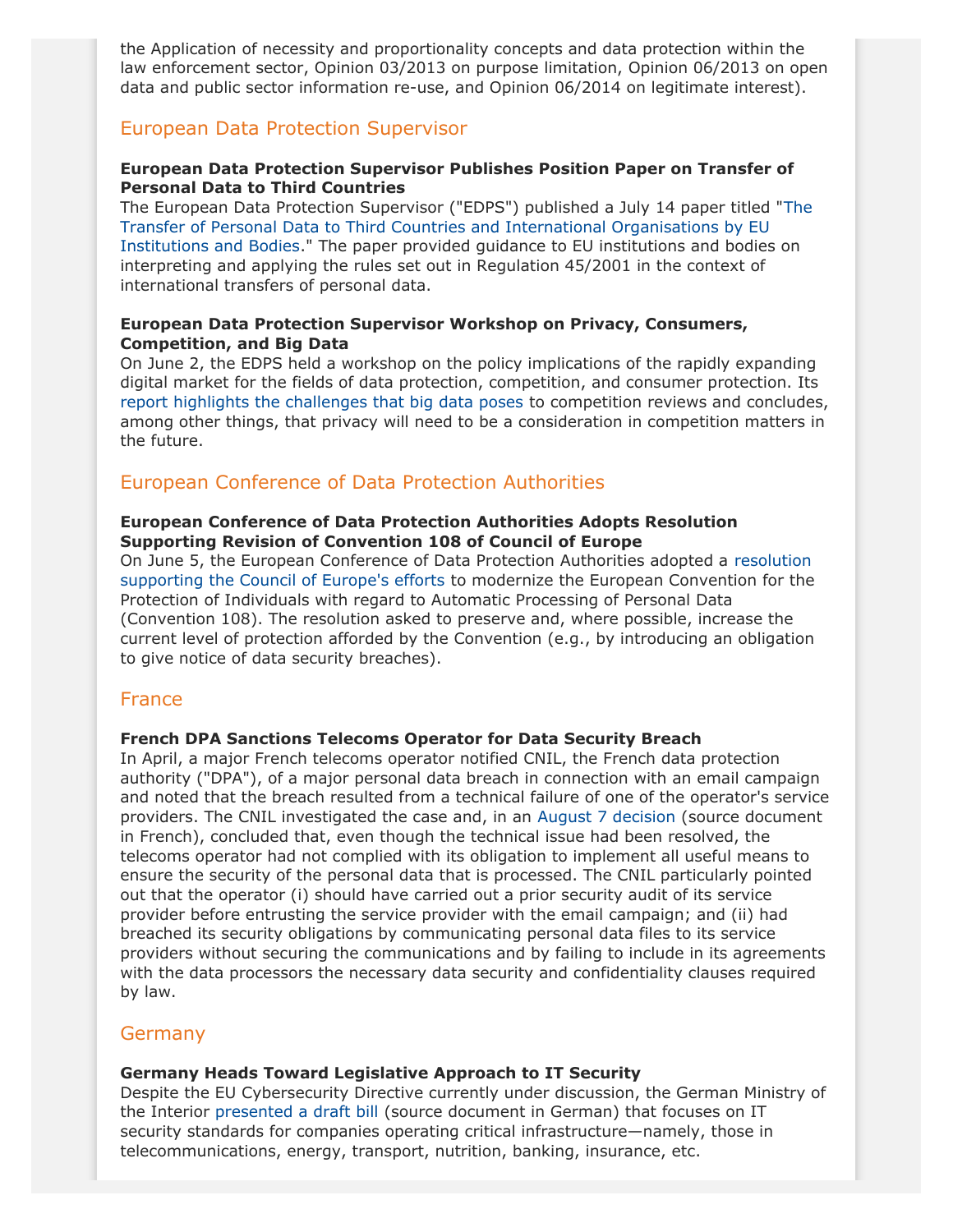the Application of necessity and proportionality concepts and data protection within the law enforcement sector, Opinion 03/2013 on purpose limitation, Opinion 06/2013 on open data and public sector information re-use, and Opinion 06/2014 on legitimate interest).

# European Data Protection Supervisor

### **European Data Protection Supervisor Publishes Position Paper on Transfer of Personal Data to Third Countries**

The European Data Protection Supervisor ("EDPS") published a July 14 paper titled "[The](https://secure.edps.europa.eu/EDPSWEB/webdav/site/mySite/shared/Documents/Supervision/Papers/14-07-14_transfer_third_countries_EN.pdf) [Transfer of Personal Data to Third Countries and International Organisations by EU](https://secure.edps.europa.eu/EDPSWEB/webdav/site/mySite/shared/Documents/Supervision/Papers/14-07-14_transfer_third_countries_EN.pdf) [Institutions and Bodies.](https://secure.edps.europa.eu/EDPSWEB/webdav/site/mySite/shared/Documents/Supervision/Papers/14-07-14_transfer_third_countries_EN.pdf)" The paper provided guidance to EU institutions and bodies on interpreting and applying the rules set out in Regulation 45/2001 in the context of international transfers of personal data.

### **European Data Protection Supervisor Workshop on Privacy, Consumers, Competition, and Big Data**

On June 2, the EDPS held a workshop on the policy implications of the rapidly expanding digital market for the fields of data protection, competition, and consumer protection. Its [report highlights the challenges that big data poses](https://secure.edps.europa.eu/EDPSWEB/webdav/site/mySite/shared/Documents/Consultation/Big data/14-07-11_EDPS_Report_Workshop_Big_data_EN.pdf) to competition reviews and concludes, among other things, that privacy will need to be a consideration in competition matters in the future.

# European Conference of Data Protection Authorities

#### **European Conference of Data Protection Authorities Adopts Resolution Supporting Revision of Convention 108 of Council of Europe**

On June 5, the European Conference of Data Protection Authorities adopted a [resolution](http://www.coe.int/t/dghl/standardsetting/dataprotection/european-conference/Resolution Convention 108.pdf) [supporting the Council of Europe's efforts](http://www.coe.int/t/dghl/standardsetting/dataprotection/european-conference/Resolution Convention 108.pdf) to modernize the European Convention for the Protection of Individuals with regard to Automatic Processing of Personal Data (Convention 108). The resolution asked to preserve and, where possible, increase the current level of protection afforded by the Convention (e.g., by introducing an obligation to give notice of data security breaches).

## France

#### **French DPA Sanctions Telecoms Operator for Data Security Breach**

In April, a major French telecoms operator notified CNIL, the French data protection authority ("DPA"), of a major personal data breach in connection with an email campaign and noted that the breach resulted from a technical failure of one of the operator's service providers. The CNIL investigated the case and, in an [August 7 decision](http://www.cnil.fr/fileadmin/documents/approfondir/deliberations/Formation_contentieuse/D2014-298_avertissement_ORANGE.pdf) (source document in French), concluded that, even though the technical issue had been resolved, the telecoms operator had not complied with its obligation to implement all useful means to ensure the security of the personal data that is processed. The CNIL particularly pointed out that the operator (i) should have carried out a prior security audit of its service provider before entrusting the service provider with the email campaign; and (ii) had breached its security obligations by communicating personal data files to its service providers without securing the communications and by failing to include in its agreements with the data processors the necessary data security and confidentiality clauses required by law.

#### **Germany**

#### **Germany Heads Toward Legislative Approach to IT Security**

Despite the EU Cybersecurity Directive currently under discussion, the German Ministry of the Interior [presented a draft bill](http://www.bmi.bund.de/SharedDocs/Downloads/DE/Gesetzestexte/Entwuerfe/Entwurf_IT-Sicherheitsgesetz.pdf?__blob=publicationFile) (source document in German) that focuses on IT security standards for companies operating critical infrastructure—namely, those in telecommunications, energy, transport, nutrition, banking, insurance, etc.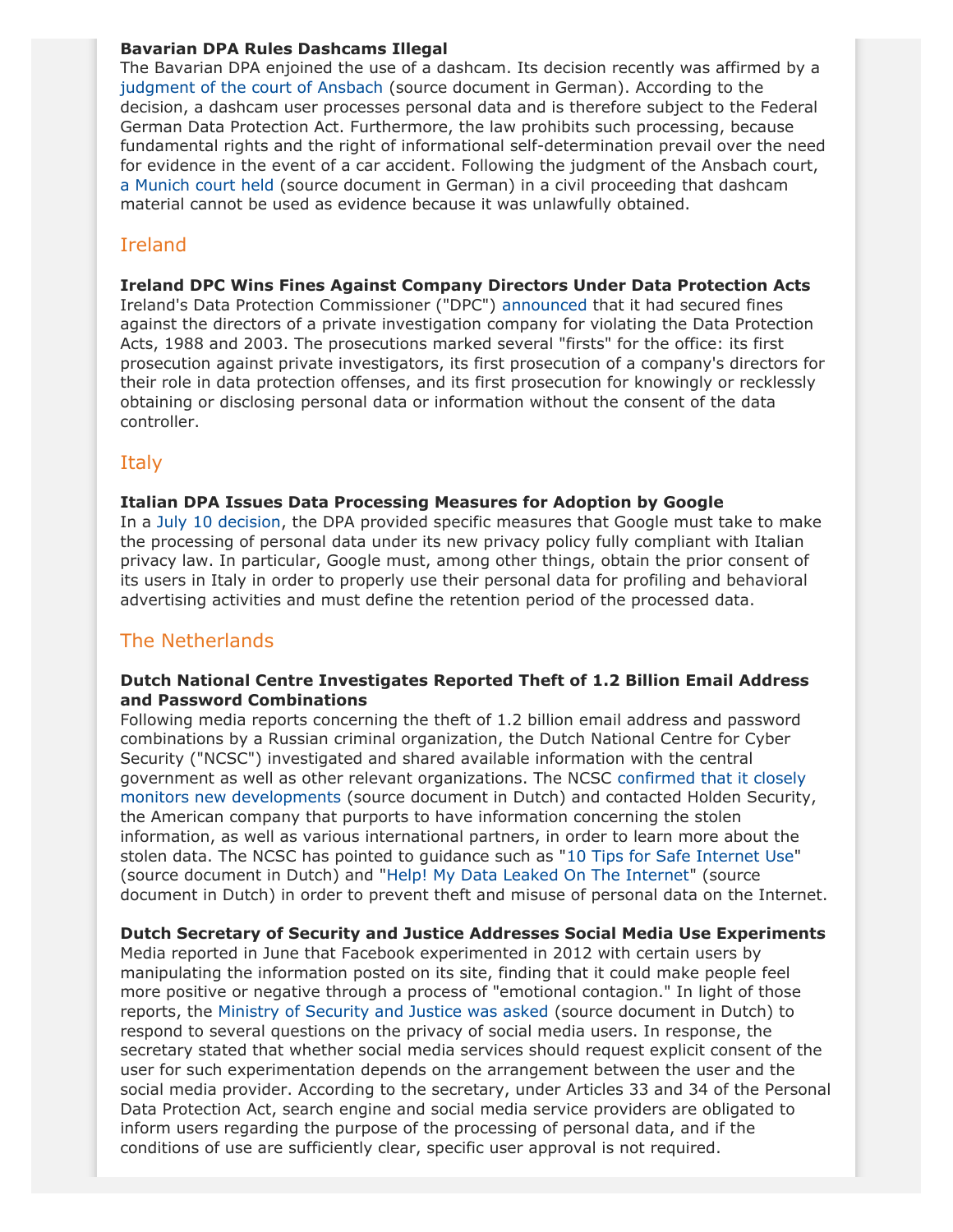#### **Bavarian DPA Rules Dashcams Illegal**

The Bavarian DPA enjoined the use of a dashcam. Its decision recently was affirmed by a [judgment of the court of Ansbach](http://www.vgh.bayern.de/media/vgansbach/presse/p-2014-20.pdf) (source document in German). According to the decision, a dashcam user processes personal data and is therefore subject to the Federal German Data Protection Act. Furthermore, the law prohibits such processing, because fundamental rights and the right of informational self-determination prevail over the need for evidence in the event of a car accident. Following the judgment of the Ansbach court, [a Munich court held](https://openjur.de/u/712753.html) (source document in German) in a civil proceeding that dashcam material cannot be used as evidence because it was unlawfully obtained.

# Ireland

### **Ireland DPC Wins Fines Against Company Directors Under Data Protection Acts**

Ireland's Data Protection Commissioner ("DPC") [announced](https://www.dataprotection.ie/docs/6-10-14-Data-Protection-Commissioner-welcomes-outcome-of-prosecution-proceedings-against-Private-Investigators-/1459.htm) that it had secured fines against the directors of a private investigation company for violating the Data Protection Acts, 1988 and 2003. The prosecutions marked several "firsts" for the office: its first prosecution against private investigators, its first prosecution of a company's directors for their role in data protection offenses, and its first prosecution for knowingly or recklessly obtaining or disclosing personal data or information without the consent of the data controller.

# **Italy**

### **Italian DPA Issues Data Processing Measures for Adoption by Google**

In a [July 10 decision,](http://www.garanteprivacy.it/web/guest/home/docweb/-/docweb-display/docweb/3295641) the DPA provided specific measures that Google must take to make the processing of personal data under its new privacy policy fully compliant with Italian privacy law. In particular, Google must, among other things, obtain the prior consent of its users in Italy in order to properly use their personal data for profiling and behavioral advertising activities and must define the retention period of the processed data.

# The Netherlands

### **Dutch National Centre Investigates Reported Theft of 1.2 Billion Email Address and Password Combinations**

Following media reports concerning the theft of 1.2 billion email address and password combinations by a Russian criminal organization, the Dutch National Centre for Cyber Security ("NCSC") investigated and shared available information with the central government as well as other relevant organizations. The NCSC [confirmed that it closely](https://www.ncsc.nl/actueel/nieuwsberichten/datadiefstal.html) [monitors new developments](https://www.ncsc.nl/actueel/nieuwsberichten/datadiefstal.html) (source document in Dutch) and contacted Holden Security, the American company that purports to have information concerning the stolen information, as well as various international partners, in order to learn more about the stolen data. The NCSC has pointed to guidance such as "[10 Tips for Safe Internet Use](https://www.ncsc.nl/dienstverlening/expertise-advies/factsheets/factsheet-10-vuistregels-voor-veilig-internetten.html)" (source document in Dutch) and ["Help! My Data Leaked On The Internet](https://www.ncsc.nl/dienstverlening/expertise-advies/factsheets/factsheet-help-mijn-gegevens-zijn-gelekt.html)" (source document in Dutch) in order to prevent theft and misuse of personal data on the Internet.

## **Dutch Secretary of Security and Justice Addresses Social Media Use Experiments**

Media reported in June that Facebook experimented in 2012 with certain users by manipulating the information posted on its site, finding that it could make people feel more positive or negative through a process of "emotional contagion." In light of those reports, the [Ministry of Security and Justice was asked](http://www.rijksoverheid.nl/documenten-en-publicaties/kamerstukken/2014/09/04/antwoorden-kamervragen-over-experimenten-waarbij-facebookgebruikers-betrokken-zijn-en-de-privacy-van-social-mediagebruikers.html) (source document in Dutch) to respond to several questions on the privacy of social media users. In response, the secretary stated that whether social media services should request explicit consent of the user for such experimentation depends on the arrangement between the user and the social media provider. According to the secretary, under Articles 33 and 34 of the Personal Data Protection Act, search engine and social media service providers are obligated to inform users regarding the purpose of the processing of personal data, and if the conditions of use are sufficiently clear, specific user approval is not required.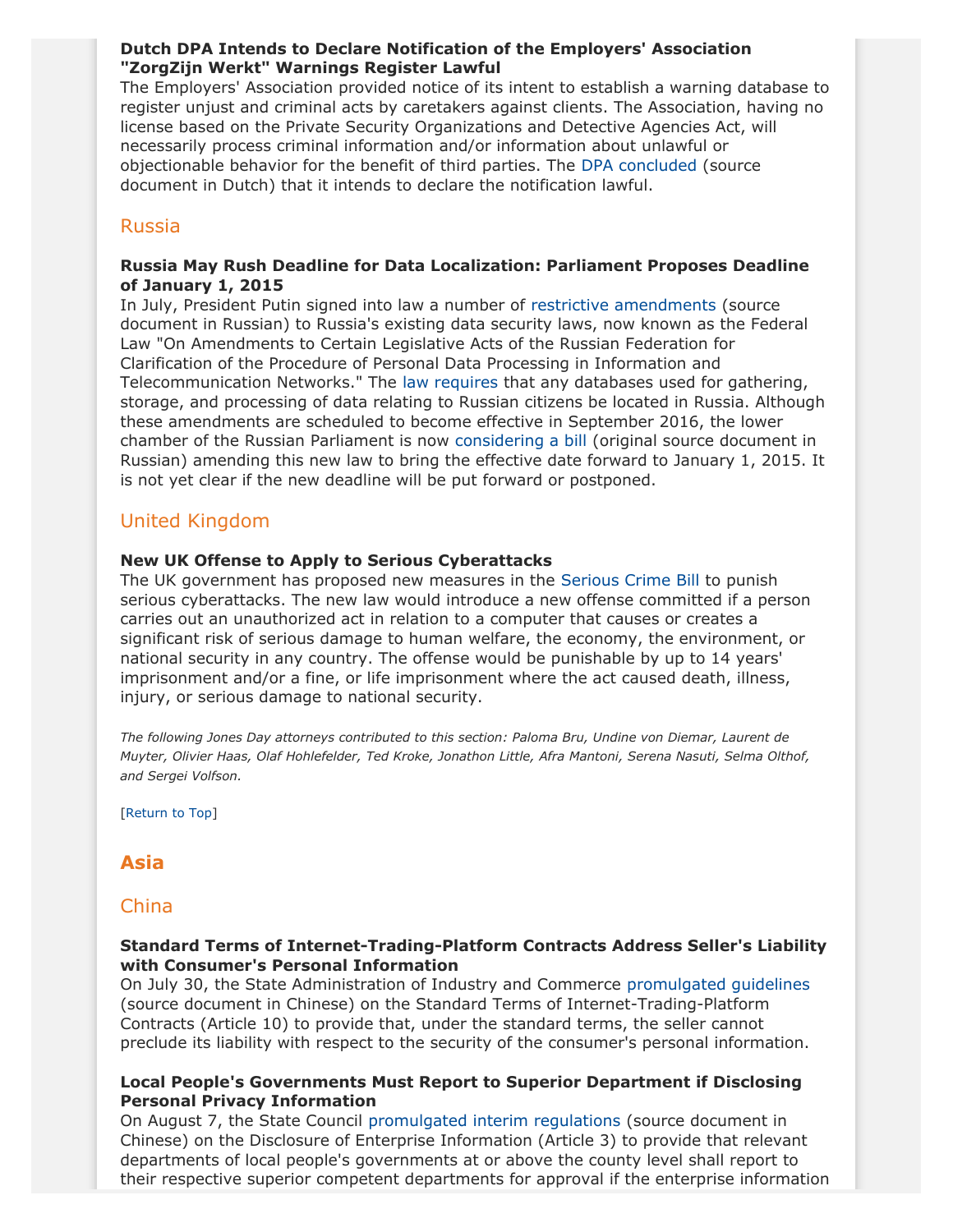### **Dutch DPA Intends to Declare Notification of the Employers' Association "ZorgZijn Werkt" Warnings Register Lawful**

The Employers' Association provided notice of its intent to establish a warning database to register unjust and criminal acts by caretakers against clients. The Association, having no license based on the Private Security Organizations and Detective Agencies Act, will necessarily process criminal information and/or information about unlawful or objectionable behavior for the benefit of third parties. The [DPA concluded](http://www.cbpweb.nl/downloads_zw_lijsten_protocollen/zwarte-lijst-ontwerpbesluit-zorg-welzijn.pdf) (source document in Dutch) that it intends to declare the notification lawful.

### Russia

#### <span id="page-12-1"></span>**Russia May Rush Deadline for Data Localization: Parliament Proposes Deadline of January 1, 2015**

In July, President Putin signed into law a number of [restrictive amendments](http://www.consultant.ru/document/cons_doc_LAW_165838/) (source document in Russian) to Russia's existing data security laws, now known as the Federal Law "On Amendments to Certain Legislative Acts of the Russian Federation for Clarification of the Procedure of Personal Data Processing in Information and Telecommunication Networks." The [law requires](http://www.jonesday.com/russia-adopts-restrictive-changes-to-its-data-privacy-law-07-18-2014/) that any databases used for gathering, storage, and processing of data relating to Russian citizens be located in Russia. Although these amendments are scheduled to become effective in September 2016, the lower chamber of the Russian Parliament is now [considering a bill](http://asozd2c.duma.gov.ru/addwork/scans.nsf/ID/5C41ABB020B4A35943257D460041C4D4/$FILE/596277-6.PDF?OpenElement) (original source document in Russian) amending this new law to bring the effective date forward to January 1, 2015. It is not yet clear if the new deadline will be put forward or postponed.

## United Kingdom

#### **New UK Offense to Apply to Serious Cyberattacks**

The UK government has proposed new measures in the [Serious Crime Bill](http://services.parliament.uk/bills/2014-15/seriouscrime.html) to punish serious cyberattacks. The new law would introduce a new offense committed if a person carries out an unauthorized act in relation to a computer that causes or creates a significant risk of serious damage to human welfare, the economy, the environment, or national security in any country. The offense would be punishable by up to 14 years' imprisonment and/or a fine, or life imprisonment where the act caused death, illness, injury, or serious damage to national security.

*The following Jones Day attorneys contributed to this section: Paloma Bru, Undine von Diemar, Laurent de Muyter, Olivier Haas, Olaf Hohlefelder, Ted Kroke, Jonathon Little, Afra Mantoni, Serena Nasuti, Selma Olthof, and Sergei Volfson.*

[[Return to Top](#page-0-1)]

# <span id="page-12-0"></span>**Asia**

#### China

#### **Standard Terms of Internet-Trading-Platform Contracts Address Seller's Liability with Consumer's Personal Information**

On July 30, the State Administration of Industry and Commerce [promulgated guidelines](http://www.saic.gov.cn/zwgk/zyfb/zjwj/scgfgls/201408/t20140801_147255.html) (source document in Chinese) on the Standard Terms of Internet-Trading-Platform Contracts (Article 10) to provide that, under the standard terms, the seller cannot preclude its liability with respect to the security of the consumer's personal information.

#### **Local People's Governments Must Report to Superior Department if Disclosing Personal Privacy Information**

On August 7, the State Council [promulgated interim regulations](http://www.gov.cn/zhengce/content/2014-08/23/content_9038.htm) (source document in Chinese) on the Disclosure of Enterprise Information (Article 3) to provide that relevant departments of local people's governments at or above the county level shall report to their respective superior competent departments for approval if the enterprise information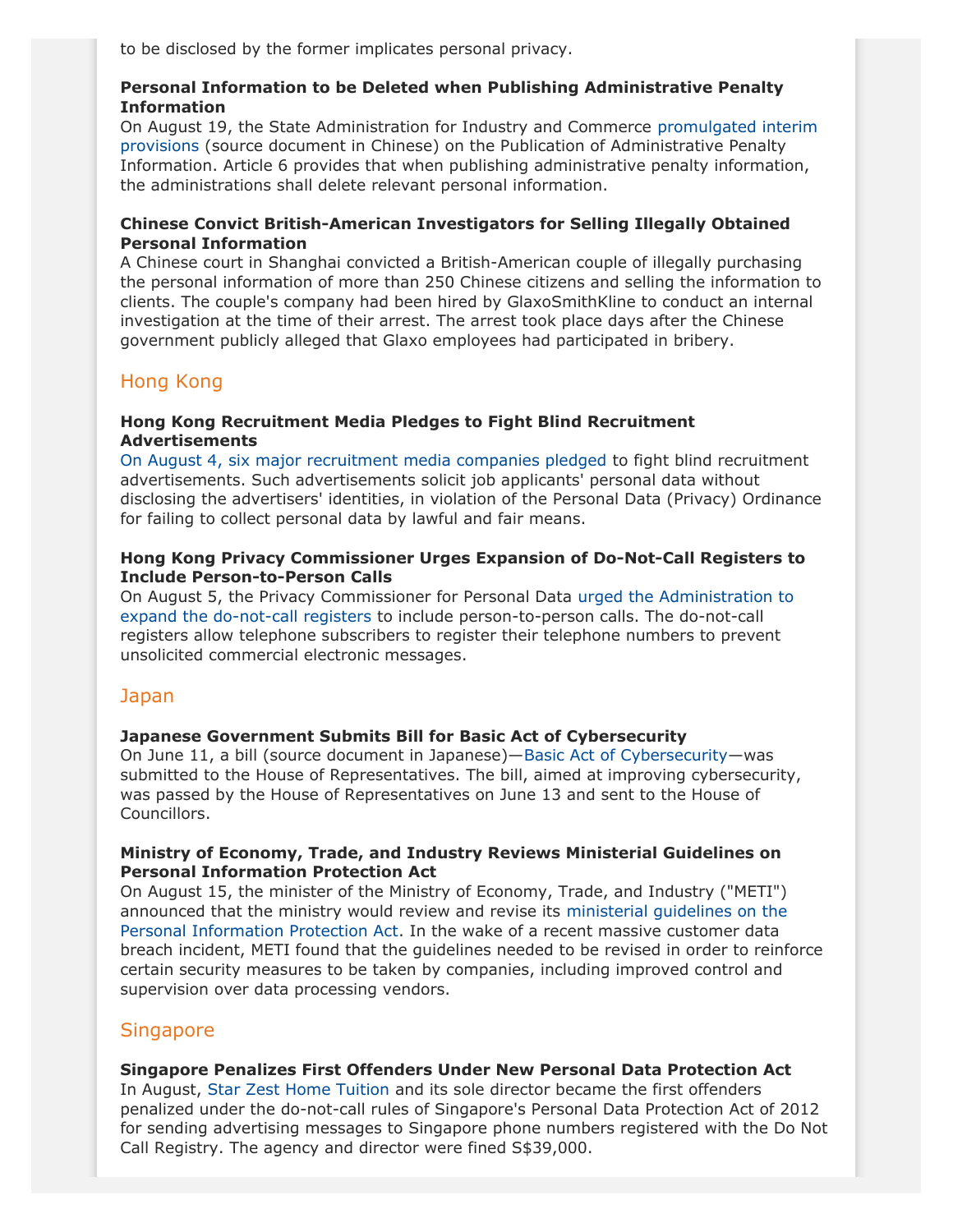to be disclosed by the former implicates personal privacy.

### **Personal Information to be Deleted when Publishing Administrative Penalty Information**

On August 19, the State Administration for Industry and Commerce [promulgated interim](http://www.saic.gov.cn/zwgk/zyfb/zjl/xxzx/201408/t20140827_147924.html) [provisions](http://www.saic.gov.cn/zwgk/zyfb/zjl/xxzx/201408/t20140827_147924.html) (source document in Chinese) on the Publication of Administrative Penalty Information. Article 6 provides that when publishing administrative penalty information, the administrations shall delete relevant personal information.

### **Chinese Convict British-American Investigators for Selling Illegally Obtained Personal Information**

A Chinese court in Shanghai convicted a British-American couple of illegally purchasing the personal information of more than 250 Chinese citizens and selling the information to clients. The couple's company had been hired by GlaxoSmithKline to conduct an internal investigation at the time of their arrest. The arrest took place days after the Chinese government publicly alleged that Glaxo employees had participated in bribery.

# Hong Kong

### **Hong Kong Recruitment Media Pledges to Fight Blind Recruitment Advertisements**

[On August 4, six major recruitment media companies pledged](https://www.pcpd.org.hk/english/infocentre/press_20140804.htm) to fight blind recruitment advertisements. Such advertisements solicit job applicants' personal data without disclosing the advertisers' identities, in violation of the Personal Data (Privacy) Ordinance for failing to collect personal data by lawful and fair means.

### **Hong Kong Privacy Commissioner Urges Expansion of Do-Not-Call Registers to Include Person-to-Person Calls**

On August 5, the Privacy Commissioner for Personal Data [urged the Administration to](https://www.pcpd.org.hk/english/infocentre/press_20140805.htm) [expand the do-not-call registers](https://www.pcpd.org.hk/english/infocentre/press_20140805.htm) to include person-to-person calls. The do-not-call registers allow telephone subscribers to register their telephone numbers to prevent unsolicited commercial electronic messages.

# Japan

## <span id="page-13-0"></span>**Japanese Government Submits Bill for Basic Act of Cybersecurity**

On June 11, a bill (source document in Japanese)—[Basic Act of Cybersecurity—](http://www.shugiin.go.jp/internet/itdb_gian.nsf/html/gian/honbun/houan/g18601035.htm)was submitted to the House of Representatives. The bill, aimed at improving cybersecurity, was passed by the House of Representatives on June 13 and sent to the House of Councillors.

#### **Ministry of Economy, Trade, and Industry Reviews Ministerial Guidelines on Personal Information Protection Act**

On August 15, the minister of the Ministry of Economy, Trade, and Industry ("METI") announced that the ministry would review and revise its [ministerial guidelines on the](http://www.meti.go.jp/policy/it_policy/privacy/0910english.pdf) [Personal Information Protection Act](http://www.meti.go.jp/policy/it_policy/privacy/0910english.pdf). In the wake of a recent massive customer data breach incident, METI found that the guidelines needed to be revised in order to reinforce certain security measures to be taken by companies, including improved control and supervision over data processing vendors.

# **Singapore**

## **Singapore Penalizes First Offenders Under New Personal Data Protection Act**

In August, [Star Zest Home Tuition](http://www.straitstimes.com/news/singapore/courts-crime/story/tuition-agency-and-its-director-first-be-penalised-under-do-not-ca) and its sole director became the first offenders penalized under the do-not-call rules of Singapore's Personal Data Protection Act of 2012 for sending advertising messages to Singapore phone numbers registered with the Do Not Call Registry. The agency and director were fined S\$39,000.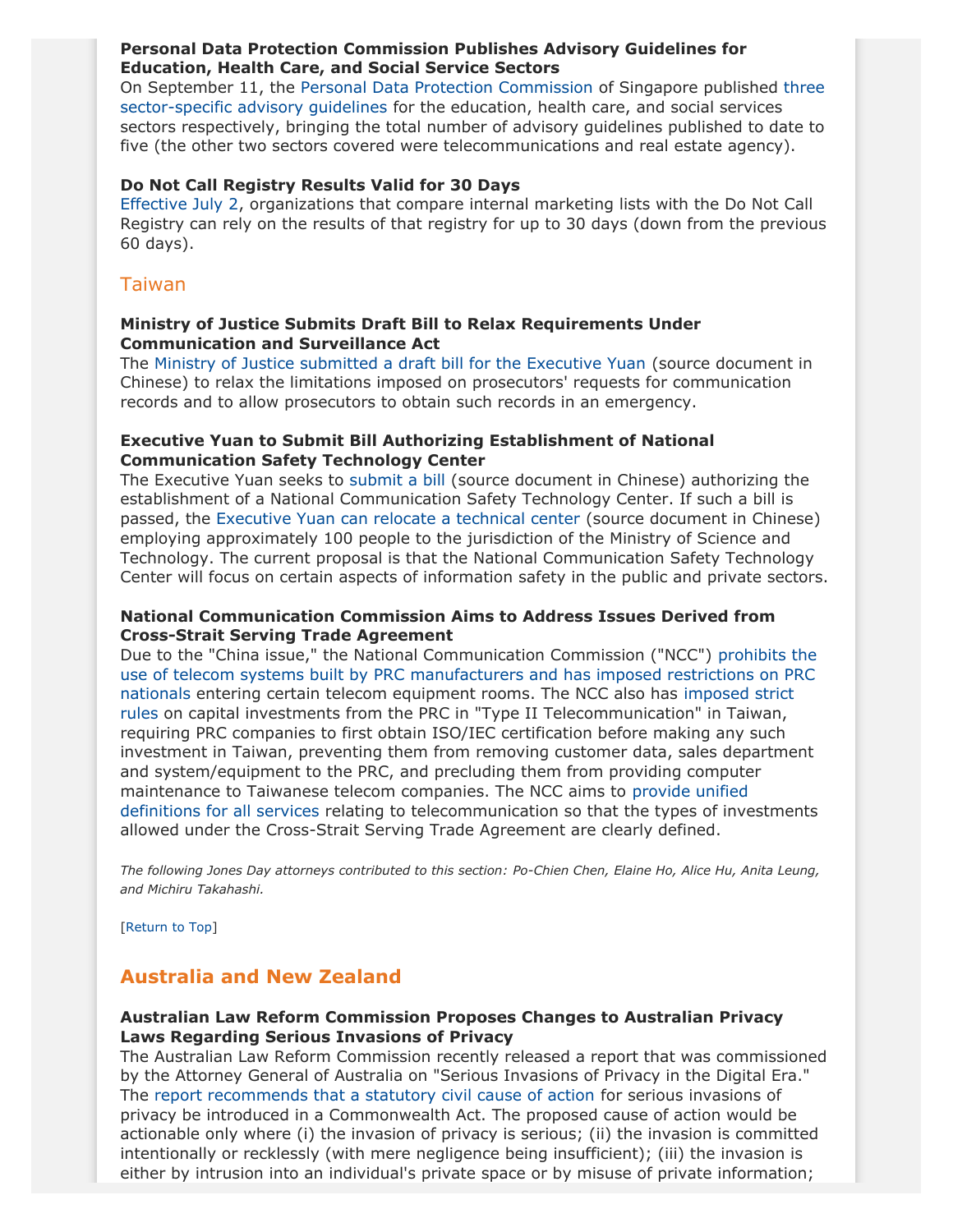#### **Personal Data Protection Commission Publishes Advisory Guidelines for Education, Health Care, and Social Service Sectors**

On September 11, the [Personal Data Protection Commission](https://www.pdpc.gov.sg/news/press-room/page/0/year/2014/pdpc-issues-advisory-guidelines-for-social-education-and-healthcare-sectors) of Singapore published [three](http://www.pdpc.gov.sg/legislation-and-guidelines/advisory-guidelines/sector-specific-advisory-guidelines#AG4) [sector-specific advisory guidelines](http://www.pdpc.gov.sg/legislation-and-guidelines/advisory-guidelines/sector-specific-advisory-guidelines#AG4) for the education, health care, and social services sectors respectively, bringing the total number of advisory guidelines published to date to five (the other two sectors covered were telecommunications and real estate agency).

#### **Do Not Call Registry Results Valid for 30 Days**

[Effective July 2](https://www.pdpc.gov.sg/news/latest-updates/do-not-call-registry-results-to-be-valid-for-30-days), organizations that compare internal marketing lists with the Do Not Call Registry can rely on the results of that registry for up to 30 days (down from the previous 60 days).

### Taiwan

### **Ministry of Justice Submits Draft Bill to Relax Requirements Under Communication and Surveillance Act**

The [Ministry of Justice submitted a draft bill for the Executive Yuan](http://www.rootlaw.com.tw/NewsContent.aspx?ID=37635) (source document in Chinese) to relax the limitations imposed on prosecutors' requests for communication records and to allow prosecutors to obtain such records in an emergency.

#### **Executive Yuan to Submit Bill Authorizing Establishment of National Communication Safety Technology Center**

The Executive Yuan seeks to [submit a bill](http://www.ey.gov.tw/Upload/RelFile/2016/715382/54c77043-0c9a-4d10-9f83-df5754500e22.doc) (source document in Chinese) authorizing the establishment of a National Communication Safety Technology Center. If such a bill is passed, the [Executive Yuan can relocate a technical center](http://www.ey.gov.tw/news_Content2.aspx?n=F8BAEBE9491FC830&s=640F9C5F4A0D3C2E) (source document in Chinese) employing approximately 100 people to the jurisdiction of the Ministry of Science and Technology. The current proposal is that the National Communication Safety Technology Center will focus on certain aspects of information safety in the public and private sectors.

#### **National Communication Commission Aims to Address Issues Derived from Cross-Strait Serving Trade Agreement**

Due to the "China issue," the National Communication Commission ("NCC") [prohibits the](http://law.moj.gov.tw/Eng/LawClass/LawContent.aspx?PCODE=K0060038) [use of telecom systems built by PRC manufacturers and has imposed restrictions on PRC](http://law.moj.gov.tw/Eng/LawClass/LawContent.aspx?PCODE=K0060038) [nationals](http://law.moj.gov.tw/Eng/LawClass/LawContent.aspx?PCODE=K0060038) entering certain telecom equipment rooms. The NCC also has [imposed strict](http://www.ncc.gov.tw/chinese/law_detail.aspx?site_content_sn=255&is_history=0&sn_f=2164) [rules](http://www.ncc.gov.tw/chinese/law_detail.aspx?site_content_sn=255&is_history=0&sn_f=2164) on capital investments from the PRC in "Type II Telecommunication" in Taiwan, requiring PRC companies to first obtain ISO/IEC certification before making any such investment in Taiwan, preventing them from removing customer data, sales department and system/equipment to the PRC, and precluding them from providing computer maintenance to Taiwanese telecom companies. The NCC aims to [provide unified](http://www.ncc.gov.tw/chinese/law_detail.aspx?site_content_sn=255&is_history=0&sn_f=2166) [definitions for all services](http://www.ncc.gov.tw/chinese/law_detail.aspx?site_content_sn=255&is_history=0&sn_f=2166) relating to telecommunication so that the types of investments allowed under the Cross-Strait Serving Trade Agreement are clearly defined.

*The following Jones Day attorneys contributed to this section: Po-Chien Chen, Elaine Ho, Alice Hu, Anita Leung, and Michiru Takahashi.*

[[Return to Top](#page-0-1)]

# <span id="page-14-0"></span>**Australia and New Zealand**

#### **Australian Law Reform Commission Proposes Changes to Australian Privacy Laws Regarding Serious Invasions of Privacy**

The Australian Law Reform Commission recently released a report that was commissioned by the Attorney General of Australia on "Serious Invasions of Privacy in the Digital Era." The [report recommends that a statutory civil cause of action](http://www.alrc.gov.au/sites/default/files/pdfs/publications/final_report_123_whole_report.pdf) for serious invasions of privacy be introduced in a Commonwealth Act. The proposed cause of action would be actionable only where (i) the invasion of privacy is serious; (ii) the invasion is committed intentionally or recklessly (with mere negligence being insufficient); (iii) the invasion is either by intrusion into an individual's private space or by misuse of private information;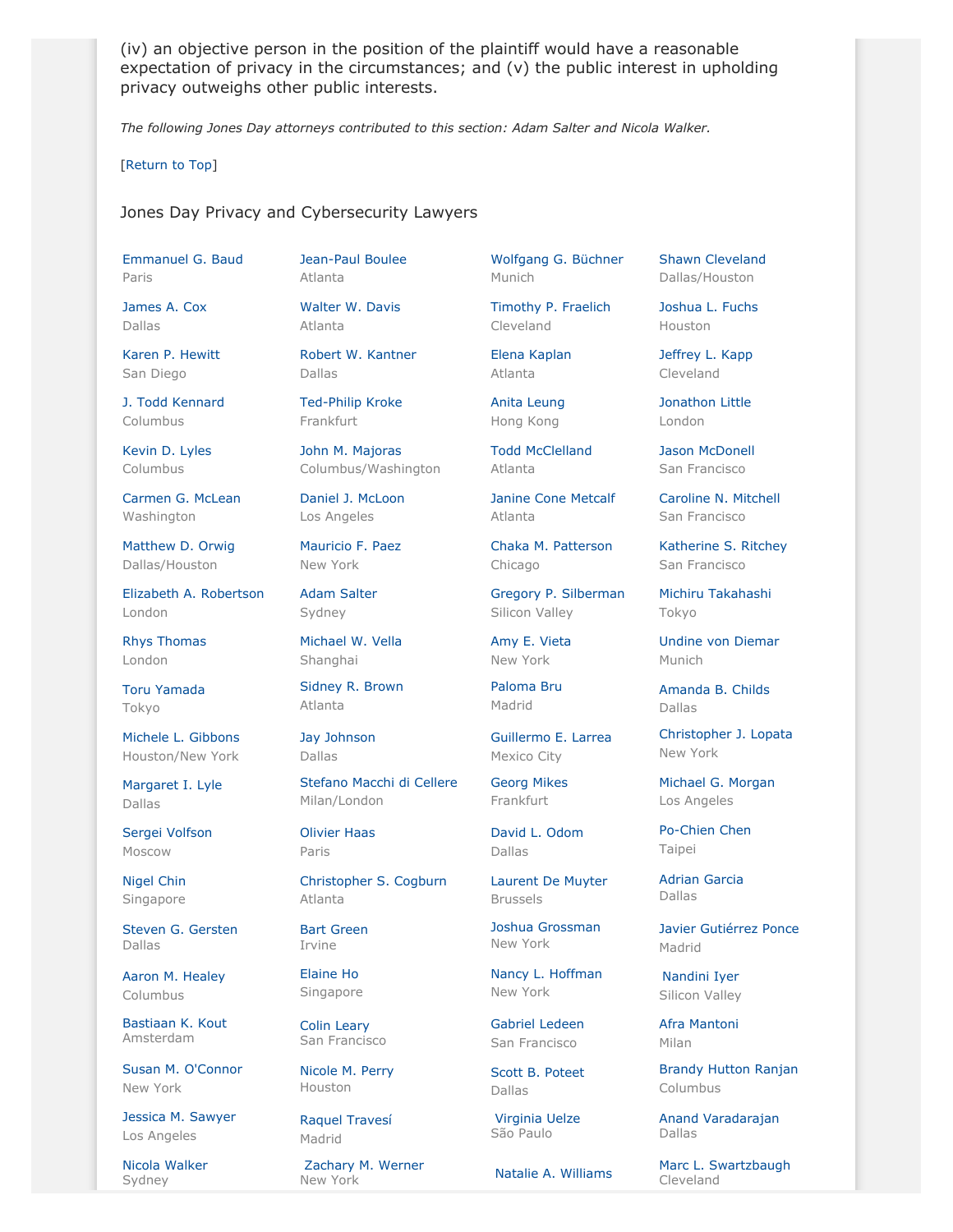(iv) an objective person in the position of the plaintiff would have a reasonable expectation of privacy in the circumstances; and (v) the public interest in upholding privacy outweighs other public interests.

*The following Jones Day attorneys contributed to this section: Adam Salter and Nicola Walker.*

[[Return to Top](#page-0-1)]

#### <span id="page-15-0"></span>Jones Day Privacy and Cybersecurity Lawyers

[Emmanuel G. Baud](http://www.jonesday.com/ebaud) Paris

[James A. Cox](http://www.jonesday.com/jacox) Dallas

[Karen P. Hewitt](http://www.jonesday.com/kphewitt) San Diego

[J. Todd Kennard](http://www.jonesday.com/jtkennard) Columbus

[Kevin D. Lyles](http://www.jonesday.com/kdlyles) Columbus

[Carmen G. McLean](http://www.jonesday.com/cgmclean) Washington

[Matthew D. Orwig](http://www.jonesday.com/morwig) Dallas/Houston

[Elizabeth A. Robertson](http://www.jonesday.com/erobertson) London

[Rhys Thomas](http://www.jonesday.com/rethomas) London

[Toru Yamada](http://www.jonesday.com/tyamada) Tokyo

[Michele L. Gibbons](http://www.jonesday.com/mitchgibbons) Houston/New York

[Margaret I. Lyle](http://www.jonesday.com/milyle) Dallas

[Sergei Volfson](http://www.jonesday.com/svolfson) Moscow

[Nigel Chin](http://www.jonesday.com/nchin) Singapore

[Steven G. Gersten](http://www.jonesday.com/sgersten) Dallas

[Aaron M. Healey](http://www.jonesday.com/ahealey) Columbus

[Bastiaan K. Kout](http://www.jonesday.com/bkout) Amsterdam

[Susan M. O'Connor](http://www.jonesday.com/soconnor) New York

[Jessica M. Sawyer](http://www.jonesday.com/jsawyer) Los Angeles

[Nicola Walker](http://www.jonesday.com/nwalker/) Sydney

[Jean-Paul Boulee](http://www.jonesday.com/jpboulee) Atlanta

[Walter W. Davis](http://www.jonesday.com/wwdavis) Atlanta

[Robert W. Kantner](http://www.jonesday.com/rwkantner) Dallas

[Ted-Philip Kroke](http://www.jonesday.com/tkroke) Frankfurt

[John M. Majoras](http://www.jonesday.com/jmmajoras) Columbus/Washington

[Daniel J. McLoon](http://www.jonesday.com/djmcloon) Los Angeles

[Mauricio F. Paez](http://www.jonesday.com/mfpaez) New York

[Adam Salter](http://www.jonesday.com/asalter) Sydney

[Michael W. Vella](http://www.jonesday.com/mvella) Shanghai

[Sidney R. Brown](http://www.jonesday.com/srbrown) Atlanta

[Jay Johnson](http://www.jonesday.com/jjohnson) Dallas

[Stefano Macchi di Cellere](http://www.jonesday.com/smacchi) Milan/London

[Olivier Haas](http://www.jonesday.com/ohaas) Paris

[Christopher S. Cogburn](http://www.jonesday.com/ccogburn) Atlanta

[Bart Green](http://www.jonesday.com/bartgreen) Irvine

[Elaine Ho](http://www.jonesday.com/elaineho)

Singapore

[Colin Leary](http://www.jonesday.com/cleary)

Houston

Madrid

San Francisco [Nicole M. Perry](http://www.jonesday.com/nmperry)

[Raquel Travesí](http://www.jonesday.com/rtravesi)

[Zachary M. Werner](http://www.jonesday.com/zwerner)

[Wolfgang G. Büchner](http://www.jonesday.com/wbuechner) Munich

[Timothy P. Fraelich](http://www.jonesday.com/tfraelich) Cleveland

[Elena Kaplan](http://www.jonesday.com/ekaplan) Atlanta

[Anita Leung](http://www.jonesday.com/aleung) Hong Kong

[Todd McClelland](http://www.jonesday.com/tmcclelland) Atlanta

[Janine Cone Metcalf](http://www.jonesday.com/jmetcalf) Atlanta

[Chaka M. Patterson](http://www.jonesday.com/cpatterson) Chicago

[Gregory P. Silberman](http://www.jonesday.com/gpsilberman) Silicon Valley

[Amy E. Vieta](http://www.jonesday.com/aevieta) New York

[Paloma Bru](http://www.jonesday.com/pbru) Madrid

[Guillermo E. Larrea](http://www.jonesday.com/glarrea) Mexico City

[Georg Mikes](http://www.jonesday.com/gmikes) Frankfurt

[David L. Odom](http://www.jonesday.com/dodom) Dallas

[Laurent De Muyter](http://www.jonesday.com/ldemuyter) Brussels

[Joshua Grossman](http://www.jonesday.com/jgrossman) New York

[Nancy L. Hoffman](http://www.jonesday.com/nlhoffman) New York

[Gabriel Ledeen](http://www.jonesday.com/gledeen) San Francisco

[Scott B. Poteet](http://www.jonesday.com/spoteet) Dallas

[Virginia Uelze](http://www.jonesday.com/vtuelze) São Paulo

[Shawn Cleveland](http://www.jonesday.com/scleveland) Dallas/Houston

[Joshua L. Fuchs](http://www.jonesday.com/jlfuchs) Houston

[Jeffrey L. Kapp](http://www.jonesday.com/jlkapp) Cleveland

[Jonathon Little](http://www.jonesday.com/jrlittle) London

[Jason McDonell](http://www.jonesday.com/jmcdonell) San Francisco

[Caroline N. Mitchell](http://www.jonesday.com/cnmitchell) San Francisco

[Katherine S. Ritchey](http://www.jonesday.com/ksritchey) San Francisco

[Michiru Takahashi](http://www.jonesday.com/mtakahashi) Tokyo

[Undine von Diemar](http://www.jonesday.com/uvondiemar) Munich

[Amanda B. Childs](http://www.jonesday.com/abchilds) Dallas

[Christopher J. Lopata](http://www.jonesday.com/cjlopata) New York

[Michael G. Morgan](http://www.jonesday.com/mgmorgan) Los Angeles

[Po-Chien Chen](http://www.jonesday.com/pochienchen) Taipei

[Adrian Garcia](http://www.jonesday.com/agarcia) Dallas

[Javier Gutiérrez Ponce](http://www.jonesday.com/javiergutierrez) Madrid

[Nandini Iyer](http://www.jonesday.com/niyer) Silicon Valley

[Afra Mantoni](http://www.jonesday.com/amantoni) Milan

[Brandy Hutton Ranjan](http://www.jonesday.com/branjan) Columbus

[Anand Varadarajan](http://www.jonesday.com/avaradarajan) Dallas

Zachary M. Werner **[Natalie A. Williams](http://www.jonesday.com/nwilliams)** [Marc L. Swartzbaugh](http://www.jonesday.com/mswartzbaugh)<br>New York Natalie A. Williams Cleveland Cleveland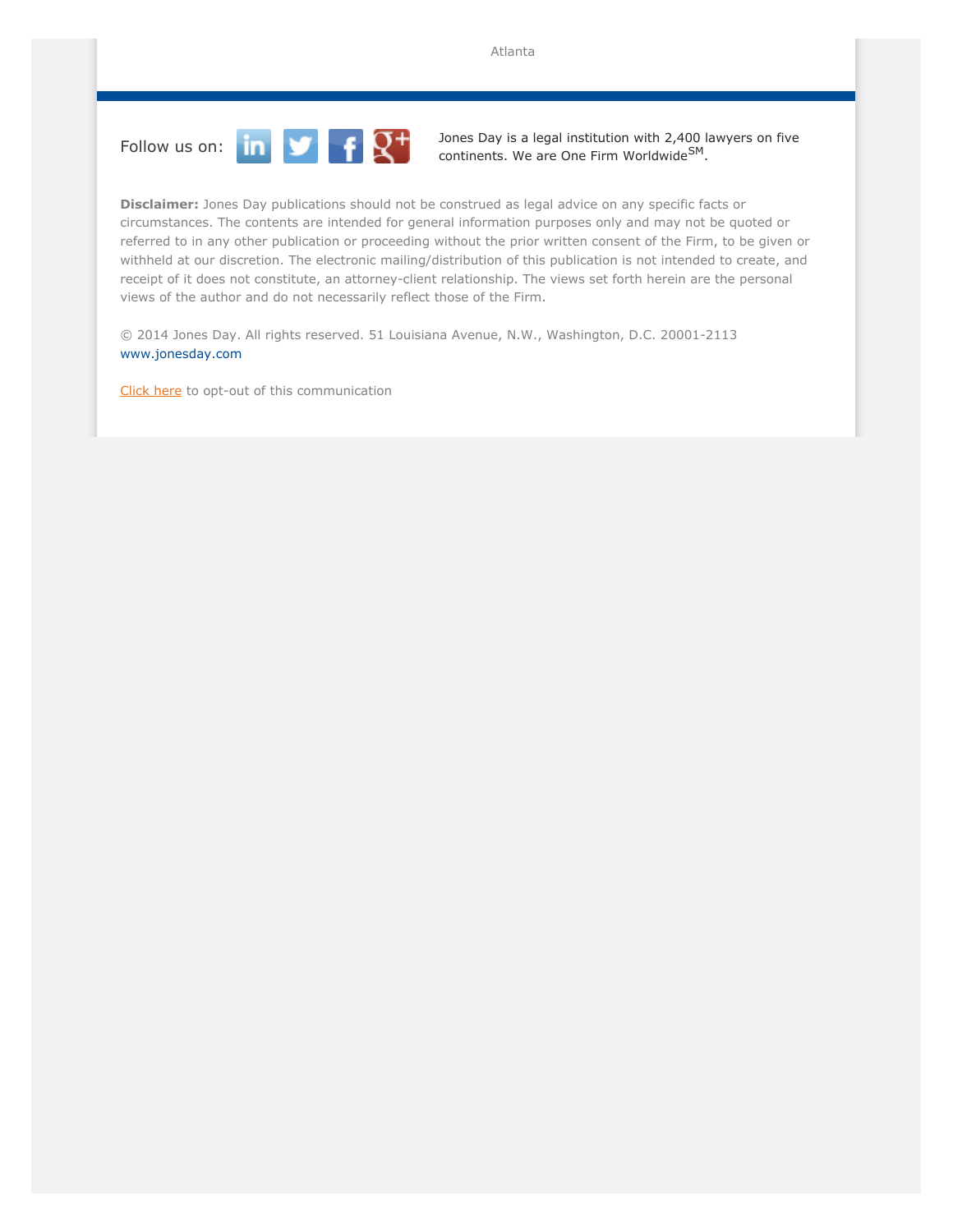

Follow us on:  $\begin{array}{|c|c|c|}\hline\textbf{1} & \textbf{2}\end{array}$   $\begin{array}{|c|c|}\hline\textbf{3} & \textbf{3} & \text{logal institution with 2,400 lawyers on five  
continents. We are One Firm Worldwide<sup>SM</sup>.\hline \end{array}$ 

**Disclaimer:** Jones Day publications should not be construed as legal advice on any specific facts or circumstances. The contents are intended for general information purposes only and may not be quoted or referred to in any other publication or proceeding without the prior written consent of the Firm, to be given or withheld at our discretion. The electronic mailing/distribution of this publication is not intended to create, and receipt of it does not constitute, an attorney-client relationship. The views set forth herein are the personal views of the author and do not necessarily reflect those of the Firm.

© 2014 Jones Day. All rights reserved. 51 Louisiana Avenue, N.W., Washington, D.C. 20001-2113 [www.jonesday.com](http://www.jonesday.com)

[Click here](http://thewritestuff.jonesday.com/ro/) to opt-out of this communication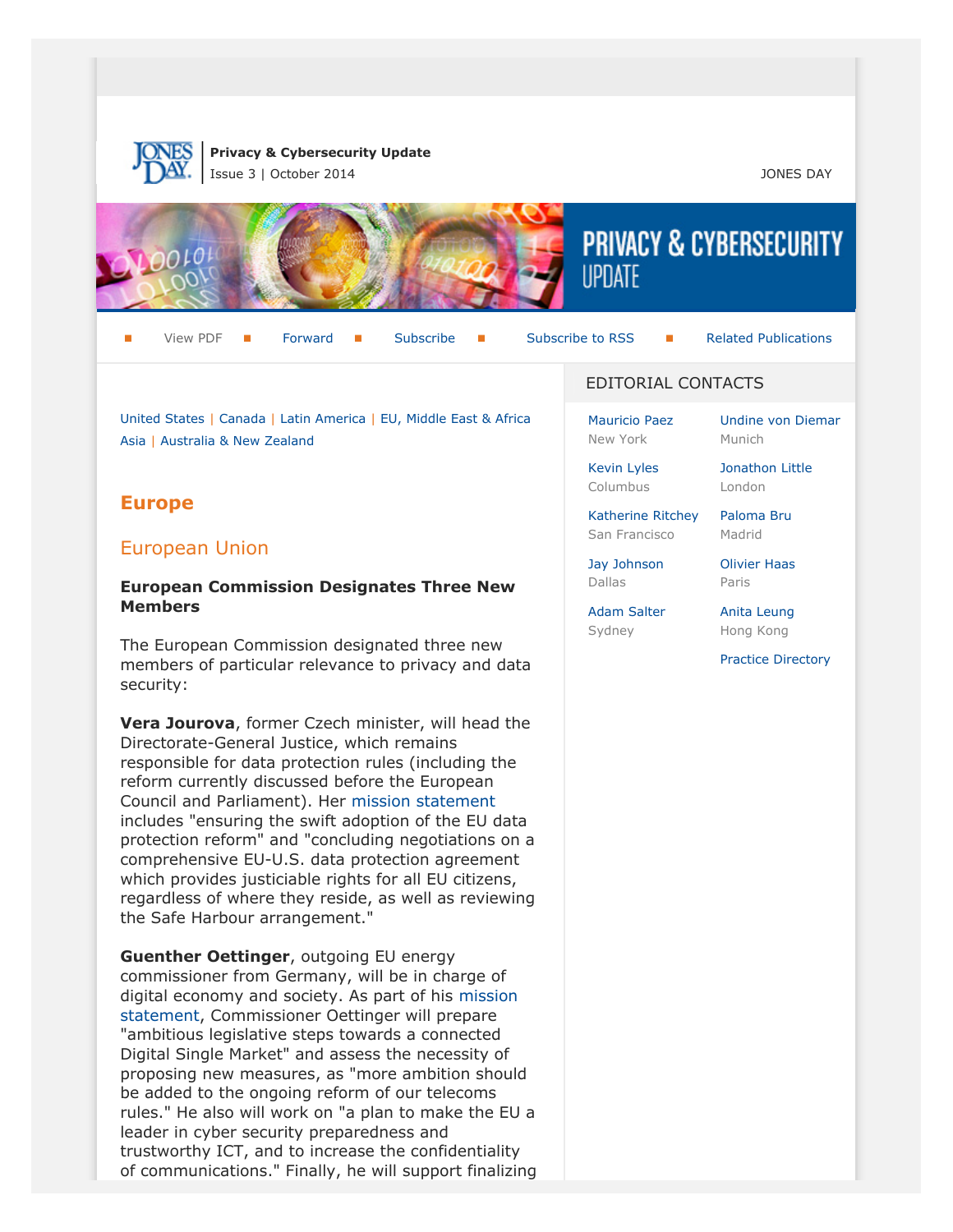

**Privacy & Cybersecurity Update**

Issue 3 | October 2014 JONES DAY



View PDF  $\blacksquare$  [Forward](http://thewritestuff.jonesday.com/cff/a5901673af24af0bbd3419f51eb88837623a4750/)  $\blacksquare$  [Subscribe](http://www.jonesday.com/newsknowledge/publications.aspx)  $\blacksquare$  [Subscribe to RSS](http://www.jonesday.com/newsknowledge/rss.aspx)  $\blacksquare$  [Related Publications](http://www.jonesday.com/experiencepractices/servicedetail.aspx?serviceid=667cc279-13c5-42de-b91c-34b923a75c52§ion=Publications)

Munich

[Undine von Diemar](http://www.jonesday.com/uvondiemar)

[Jonathon Little](http://www.jonesday.com/jrlittle) London

[United States](http://thewritestuff.jonesday.com/cv/a5901673af24af0bbd3419f51eb88837623a4750/p=0#us) | [Canada](http://thewritestuff.jonesday.com/cv/a5901673af24af0bbd3419f51eb88837623a4750/p=0#canada) | [Latin America](http://thewritestuff.jonesday.com/cv/a5901673af24af0bbd3419f51eb88837623a4750/p=0#latin) | [EU, Middle East & Africa](http://thewritestuff.jonesday.com/cv/a5901673af24af0bbd3419f51eb88837623a4750/p=0#europe) [Asia](http://thewritestuff.jonesday.com/cv/a5901673af24af0bbd3419f51eb88837623a4750/p=0#asia) | [Australia & New Zealand](http://thewritestuff.jonesday.com/cv/a5901673af24af0bbd3419f51eb88837623a4750/p=0#australia)

# **Europe**

## European Union

#### **European Commission Designates Three New Members**

The European Commission designated three new members of particular relevance to privacy and data security:

**Vera Jourova**, former Czech minister, will head the Directorate-General Justice, which remains responsible for data protection rules (including the reform currently discussed before the European Council and Parliament). Her [mission statement](http://ec.europa.eu/about/juncker-commission/docs/jourova_en.pdf) includes "ensuring the swift adoption of the EU data protection reform" and "concluding negotiations on a comprehensive EU-U.S. data protection agreement which provides justiciable rights for all EU citizens, regardless of where they reside, as well as reviewing the Safe Harbour arrangement."

**Guenther Oettinger**, outgoing EU energy commissioner from Germany, will be in charge of digital economy and society. As part of his [mission](http://ec.europa.eu/about/juncker-commission/docs/oettinger_en.pdf) [statement](http://ec.europa.eu/about/juncker-commission/docs/oettinger_en.pdf), Commissioner Oettinger will prepare "ambitious legislative steps towards a connected Digital Single Market" and assess the necessity of proposing new measures, as "more ambition should be added to the ongoing reform of our telecoms rules." He also will work on "a plan to make the EU a leader in cyber security preparedness and trustworthy ICT, and to increase the confidentiality of communications." Finally, he will support finalizing

#### EDITORIAL CONTACTS

[Mauricio Paez](http://www.jonesday.com/mfpaez) New York

[Kevin Lyles](http://www.jonesday.com/kdlyles) Columbus

[Katherine Ritchey](http://www.jonesday.com/ksritchey) San Francisco

[Jay Johnson](http://www.jonesday.com/jjohnson) Dallas

[Olivier Haas](http://www.jonesday.com/ohaas) Paris

[Paloma Bru](http://www.jonesday.com/pbru) Madrid

[Adam Salter](http://www.jonesday.com/asalter) Sydney

[Anita Leung](http://www.jonesday.com/aleung) Hong Kong

[Practice Directory](http://thewritestuff.jonesday.com/cv/a5901673af24af0bbd3419f51eb88837623a4750/p=0#lawyers)